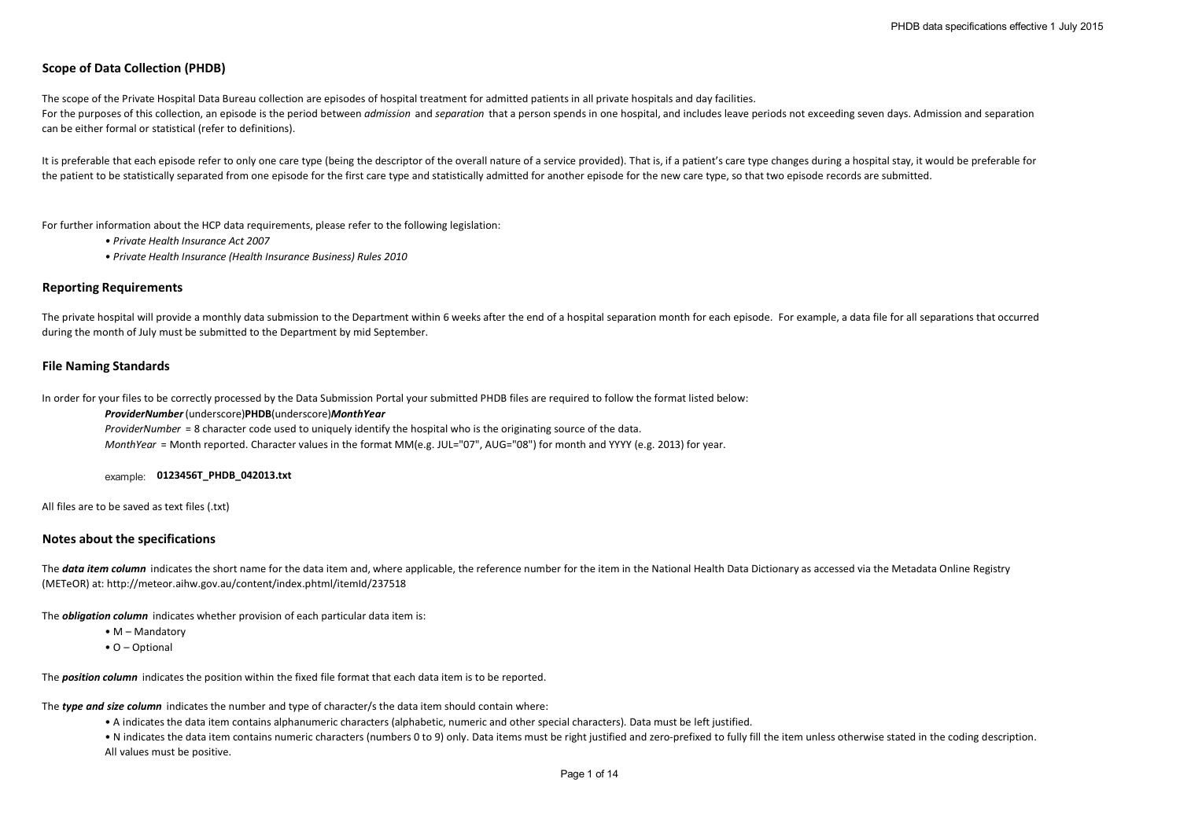# **Scope of Data Collection (PHDB)**

The scope of the Private Hospital Data Bureau collection are episodes of hospital treatment for admitted patients in all private hospitals and day facilities. For the purposes of this collection, an episode is the period between *admission* and *separation* that a person spends in one hospital, and includes leave periods not exceeding seven days. Admission and separation can be either formal or statistical (refer to definitions).

It is preferable that each episode refer to only one care type (being the descriptor of the overall nature of a service provided). That is, if a patient's care type changes during a hospital stay, it would be preferable fo the patient to be statistically separated from one episode for the first care type and statistically admitted for another episode for the new care type, so that two episode records are submitted.

For further information about the HCP data requirements, please refer to the following legislation:

- *Private Health Insurance Act 2007*
- *Private Health Insurance (Health Insurance Business) Rules 2010*

### **Reporting Requirements**

The private hospital will provide a monthly data submission to the Department within 6 weeks after the end of a hospital separation month for each episode. For example, a data file for all separations that occurred during the month of July must be submitted to the Department by mid September.

### **File Naming Standards**

In order for your files to be correctly processed by the Data Submission Portal your submitted PHDB files are required to follow the format listed below:

*ProviderNumber*(underscore)**PHDB**(underscore)*MonthYear*

*ProviderNumber* = 8 character code used to uniquely identify the hospital who is the originating source of the data.

*MonthYear* = Month reported. Character values in the format MM(e.g. JUL="07", AUG="08") for month and YYYY (e.g. 2013) for year.

### example: **0123456T\_PHDB\_042013.txt**

All files are to be saved as text files (.txt)

#### **Notes about the specifications**

The **data item column** indicates the short name for the data item and, where applicable, the reference number for the item in the National Health Data Dictionary as accessed via the Metadata Online Registry (METeOR) at: http://meteor.aihw.gov.au/content/index.phtml/itemId/237518

The *obligation column* indicates whether provision of each particular data item is:

- M Mandatory
- O Optional

The *position column* indicates the position within the fixed file format that each data item is to be reported.

The *type and size column* indicates the number and type of character/s the data item should contain where:

• A indicates the data item contains alphanumeric characters (alphabetic, numeric and other special characters). Data must be left justified.

• N indicates the data item contains numeric characters (numbers 0 to 9) only. Data items must be right justified and zero-prefixed to fully fill the item unless otherwise stated in the coding description. All values must be positive.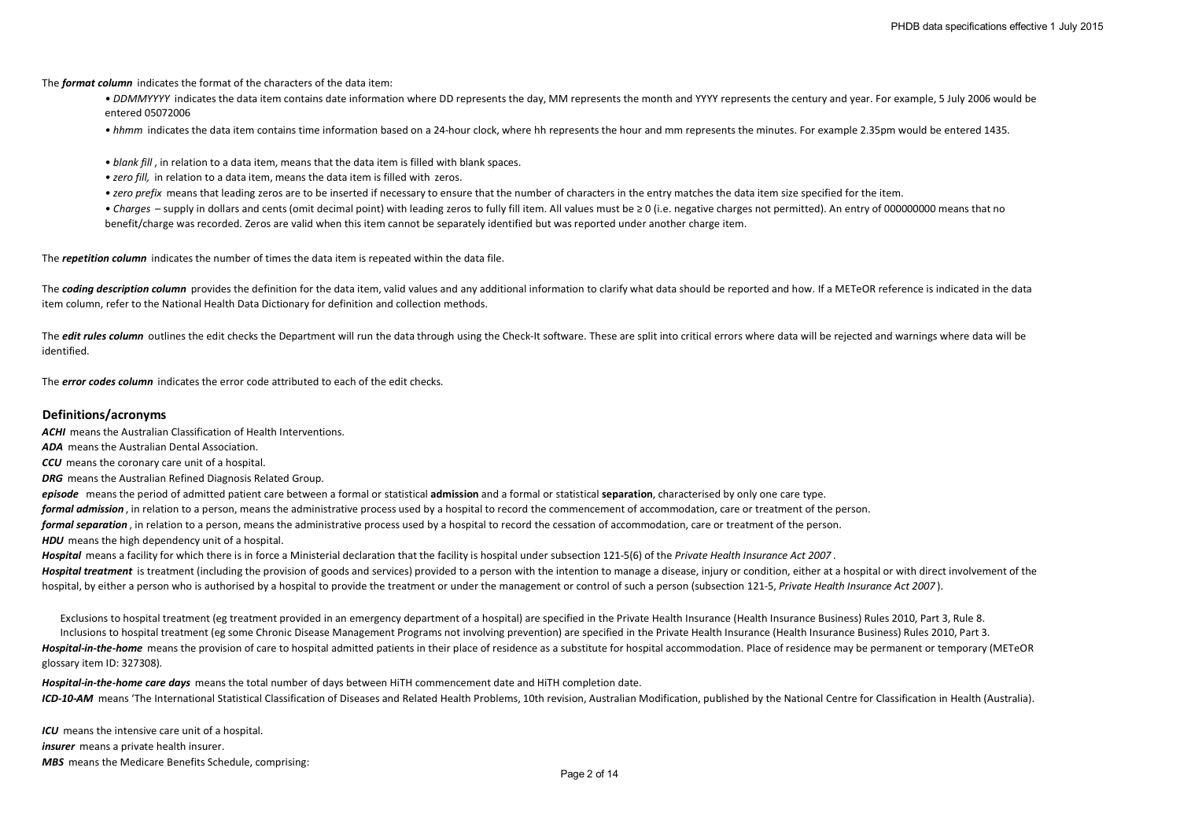The *format column* indicates the format of the characters of the data item:

• DDMMYYYY indicates the data item contains date information where DD represents the day. MM represents the month and YYYY represents the century and year. For example, 5 July 2006 would be entered 05072006

*• hhmm* indicates the data item contains time information based on a 24-hour clock, where hh represents the hour and mm represents the minutes. For example 2.35pm would be entered 1435.

- *blank fill* , in relation to a data item, means that the data item is filled with blank spaces.
- *zero fill,* in relation to a data item, means the data item is filled with zeros.
- *zero prefix* means that leading zeros are to be inserted if necessary to ensure that the number of characters in the entry matches the data item size specified for the item.

*• Charges* – supply in dollars and cents (omit decimal point) with leading zeros to fully fill item. All values must be ≥ 0 (i.e. negative charges not permitted). An entry of 000000000 means that no benefit/charge was recorded. Zeros are valid when this item cannot be separately identified but was reported under another charge item.

The *repetition column* indicates the number of times the data item is repeated within the data file.

The **coding description column** provides the definition for the data item, valid values and any additional information to clarify what data should be reported and how. If a METeOR reference is indicated in the data item column, refer to the National Health Data Dictionary for definition and collection methods.

The *edit rules column* outlines the edit checks the Department will run the data through using the Check-It software. These are split into critical errors where data will be rejected and warnings where data will be identified.

The *error codes column* indicates the error code attributed to each of the edit checks.

# **Definitions/acronyms**

*ACHI* means the Australian Classification of Health Interventions.

*ADA* means the Australian Dental Association.

*CCU* means the coronary care unit of a hospital.

*DRG* means the Australian Refined Diagnosis Related Group.

*episode* means the period of admitted patient care between a formal or statistical **admission** and a formal or statistical **separation**, characterised by only one care type. *formal admission* , in relation to a person, means the administrative process used by a hospital to record the commencement of accommodation, care or treatment of the person. *formal separation* , in relation to a person, means the administrative process used by a hospital to record the cessation of accommodation, care or treatment of the person. **HDU** means the high dependency unit of a hospital.

*Hospital* means a facility for which there is in force a Ministerial declaration that the facility is hospital under subsection 121-5(6) of the *Private Health Insurance Act 2007* . **Hospital treatment** is treatment (including the provision of goods and services) provided to a person with the intention to manage a disease, injury or condition, either at a hospital or with direct involvement of the hospital, by either a person who is authorised by a hospital to provide the treatment or under the management or control of such a person (subsection 121-5, *Private Health Insurance Act 2007* ).

Inclusions to hospital treatment (eg some Chronic Disease Management Programs not involving prevention) are specified in the Private Health Insurance (Health Insurance Business) Rules 2010, Part 3. Exclusions to hospital treatment (eg treatment provided in an emergency department of a hospital) are specified in the Private Health Insurance (Health Insurance Business) Rules 2010, Part 3, Rule 8.

*Hospital-in-the-home* means the provision of care to hospital admitted patients in their place of residence as a substitute for hospital accommodation. Place of residence may be permanent or temporary (METeOR glossary item ID: 327308).

*ICD-10-AM* means 'The International Statistical Classification of Diseases and Related Health Problems, 10th revision, Australian Modification, published by the National Centre for Classification in Health (Australia). *Hospital-in-the-home care days* means the total number of days between HiTH commencement date and HiTH completion date.

*ICU* means the intensive care unit of a hospital. *insurer* means a private health insurer. *MBS* means the Medicare Benefits Schedule, comprising: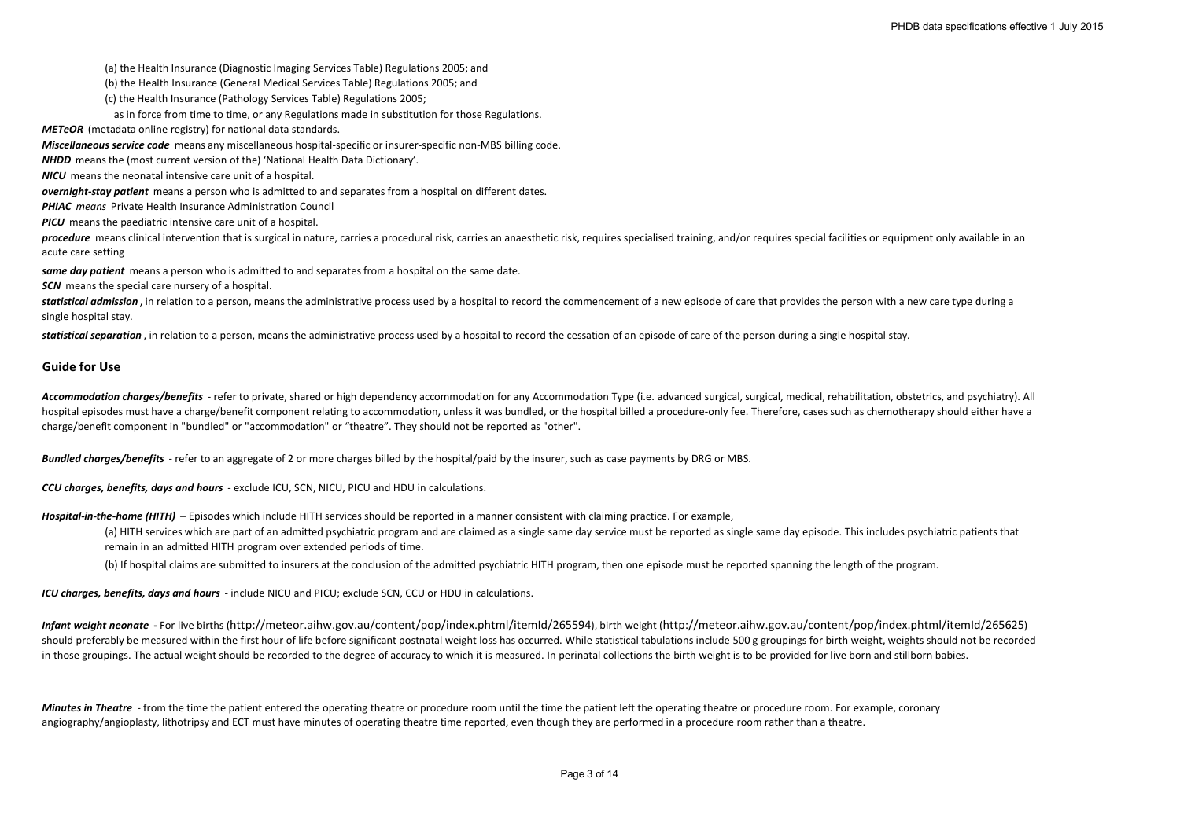(a) the Health Insurance (Diagnostic Imaging Services Table) Regulations 2005; and

(b) the Health Insurance (General Medical Services Table) Regulations 2005; and

(c) the Health Insurance (Pathology Services Table) Regulations 2005;

as in force from time to time, or any Regulations made in substitution for those Regulations.

*METeOR* (metadata online registry) for national data standards.

*Miscellaneous service code* means any miscellaneous hospital-specific or insurer-specific non-MBS billing code.

*NHDD* means the (most current version of the) 'National Health Data Dictionary'.

*NICU* means the neonatal intensive care unit of a hospital.

*overnight-stay patient* means a person who is admitted to and separates from a hospital on different dates.

*PHIAC means* Private Health Insurance Administration Council

*PICU* means the paediatric intensive care unit of a hospital.

procedure means clinical intervention that is surgical in nature, carries a procedural risk, carries an anaesthetic risk, requires specialised training, and/or requires special facilities or equipment only available in an acute care setting

*same day patient* means a person who is admitted to and separates from a hospital on the same date.

**SCN** means the special care nursery of a hospital.

statistical admission, in relation to a person, means the administrative process used by a hospital to record the commencement of a new episode of care that provides the person with a new care type during a single hospital stay.

statistical separation, in relation to a person, means the administrative process used by a hospital to record the cessation of an episode of care of the person during a single hospital stay.

### **Guide for Use**

Accommodation charges/benefits - refer to private, shared or high dependency accommodation for any Accommodation Type (i.e. advanced surgical, surgical, medical, rehabilitation, obstetrics, and psychiatry). All hospital episodes must have a charge/benefit component relating to accommodation, unless it was bundled, or the hospital billed a procedure-only fee. Therefore, cases such as chemotherapy should either have a charge/benefit component in "bundled" or "accommodation" or "theatre". They should not be reported as "other".

*Bundled charges/benefits* - refer to an aggregate of 2 or more charges billed by the hospital/paid by the insurer, such as case payments by DRG or MBS.

*CCU charges, benefits, days and hours* - exclude ICU, SCN, NICU, PICU and HDU in calculations.

*Hospital-in-the-home (HITH)* **–** Episodes which include HITH services should be reported in a manner consistent with claiming practice. For example,

(a) HITH services which are part of an admitted psychiatric program and are claimed as a single same day service must be reported as single same day episode. This includes psychiatric patients that remain in an admitted HITH program over extended periods of time.

(b) If hospital claims are submitted to insurers at the conclusion of the admitted psychiatric HITH program, then one episode must be reported spanning the length of the program.

*ICU charges, benefits, days and hours* - include NICU and PICU; exclude SCN, CCU or HDU in calculations.

*Infant weight neonate* **-** For live births (http://meteor.aihw.gov.au/content/pop/index.phtml/itemId/265594), birth weight (http://meteor.aihw.gov.au/content/pop/index.phtml/itemId/265625) should preferably be measured within the first hour of life before significant postnatal weight loss has occurred. While statistical tabulations include 500 g groupings for birth weight, weights should not be recorded in those groupings. The actual weight should be recorded to the degree of accuracy to which it is measured. In perinatal collections the birth weight is to be provided for live born and stillborn babies.

*Minutes in Theatre* - from the time the patient entered the operating theatre or procedure room until the time the patient left the operating theatre or procedure room. For example, coronary angiography/angioplasty, lithotripsy and ECT must have minutes of operating theatre time reported, even though they are performed in a procedure room rather than a theatre.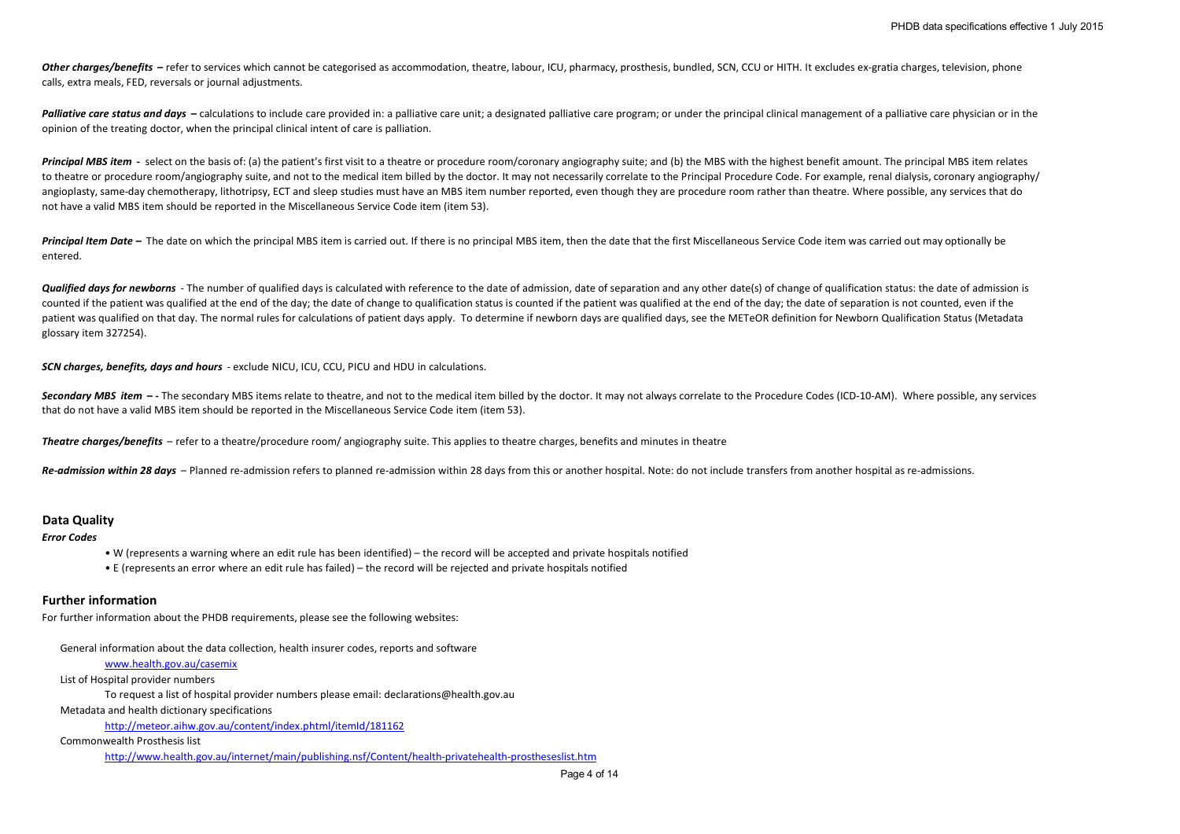Other charges/benefits – refer to services which cannot be categorised as accommodation, theatre, labour, ICU, pharmacy, prosthesis, bundled, SCN, CCU or HITH. It excludes ex-gratia charges, television, phone calls, extra meals, FED, reversals or journal adjustments.

Palliative care status and days - calculations to include care provided in: a palliative care unit; a designated palliative care program; or under the principal clinical management of a palliative care physician or in the opinion of the treating doctor, when the principal clinical intent of care is palliation.

Principal MBS item - select on the basis of: (a) the patient's first visit to a theatre or procedure room/coronary angiography suite; and (b) the MBS with the highest benefit amount. The principal MBS item relates to theatre or procedure room/angiography suite, and not to the medical item billed by the doctor. It may not necessarily correlate to the Principal Procedure Code. For example, renal dialysis, coronary angiography/ angioplasty, same-day chemotherapy, lithotripsy, ECT and sleep studies must have an MBS item number reported, even though they are procedure room rather than theatre. Where possible, any services that do not have a valid MBS item should be reported in the Miscellaneous Service Code item (item 53).

Principal Item Date – The date on which the principal MBS item is carried out. If there is no principal MBS item, then the date that the first Miscellaneous Service Code item was carried out may optionally be entered.

**Qualified days for newborns** - The number of qualified days is calculated with reference to the date of admission, date of separation and any other date(s) of change of qualification status: the date of admission is counted if the patient was qualified at the end of the day; the date of change to qualification status is counted if the patient was qualified at the end of the day; the date of separation is not counted, even if the patient was qualified on that day. The normal rules for calculations of patient days apply. To determine if newborn days are qualified days, see the METeOR definition for Newborn Qualification Status (Metadata glossary item 327254).

*SCN charges, benefits, days and hours* - exclude NICU, ICU, CCU, PICU and HDU in calculations.

Secondary MBS item -- The secondary MBS items relate to theatre, and not to the medical item billed by the doctor. It may not always correlate to the Procedure Codes (ICD-10-AM). Where possible, any services that do not have a valid MBS item should be reported in the Miscellaneous Service Code item (item 53).

*Theatre charges/benefits* – refer to a theatre/procedure room/ angiography suite. This applies to theatre charges, benefits and minutes in theatre

*Re-admission within 28 days* – Planned re-admission refers to planned re-admission within 28 days from this or another hospital. Note: do not include transfers from another hospital as re-admissions.

# **Data Quality**

*Error Codes*

- W (represents a warning where an edit rule has been identified) the record will be accepted and private hospitals notified
- E (represents an error where an edit rule has failed) the record will be rejected and private hospitals notified

# **Further information**

For further information about the PHDB requirements, please see the following websites:

General information about the data collection, health insurer codes, reports and software

www.health.gov.au/casemix

List of Hospital provider numbers

To request a list of hospital provider numbers please email: declarations@health.gov.au

Metadata and health dictionary specifications

http://meteor.aihw.gov.au/content/index.phtml/itemId/181162

Commonwealth Prosthesis list

http://www.health.gov.au/internet/main/publishing.nsf/Content/health-privatehealth-prostheseslist.htm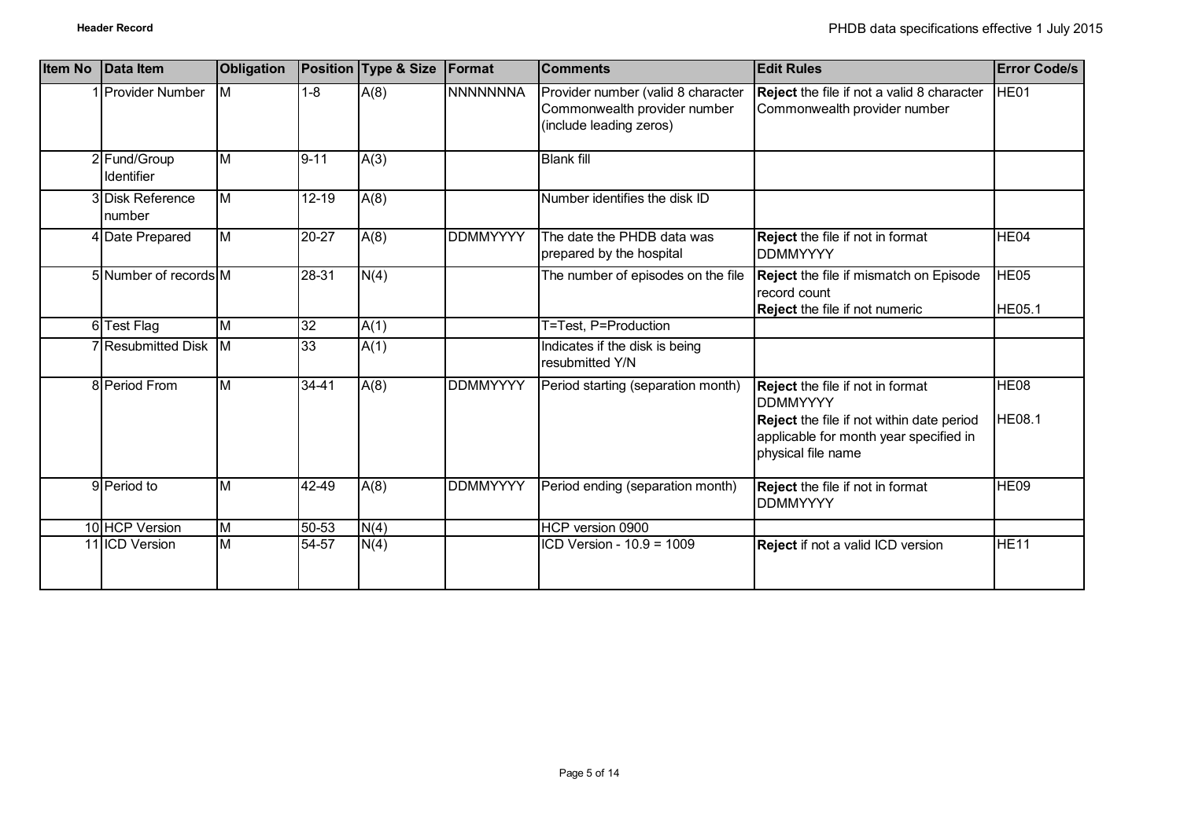| <b>Item No</b> | Data Item                  | Obligation              |                 | Position Type & Size | Format          | <b>Comments</b>                                                                               | <b>Edit Rules</b>                                                                                                                                                       | <b>Error Code/s</b>               |
|----------------|----------------------------|-------------------------|-----------------|----------------------|-----------------|-----------------------------------------------------------------------------------------------|-------------------------------------------------------------------------------------------------------------------------------------------------------------------------|-----------------------------------|
|                | <b>Provider Number</b>     | M                       | $1 - 8$         | A(8)                 | NNNNNNNA        | Provider number (valid 8 character<br>Commonwealth provider number<br>(include leading zeros) | Reject the file if not a valid 8 character<br>Commonwealth provider number                                                                                              | HE <sub>01</sub>                  |
|                | 2 Fund/Group<br>Identifier | M                       | $9 - 11$        | A(3)                 |                 | <b>Blank fill</b>                                                                             |                                                                                                                                                                         |                                   |
|                | 3 Disk Reference<br>number | M                       | $12 - 19$       | A(8)                 |                 | Number identifies the disk ID                                                                 |                                                                                                                                                                         |                                   |
|                | 4 Date Prepared            | $\overline{\mathsf{M}}$ | 20-27           | A(8)                 | <b>DDMMYYYY</b> | The date the PHDB data was<br>prepared by the hospital                                        | Reject the file if not in format<br><b>DDMMYYYY</b>                                                                                                                     | HE <sub>04</sub>                  |
|                | 5 Number of records M      |                         | 28-31           | N(4)                 |                 | The number of episodes on the file                                                            | Reject the file if mismatch on Episode<br>record count<br>Reject the file if not numeric                                                                                | HE <sub>05</sub><br><b>HE05.1</b> |
|                | 6 Test Flag                | M                       | $\overline{32}$ | A(1)                 |                 | T=Test, P=Production                                                                          |                                                                                                                                                                         |                                   |
|                | 7 Resubmitted Disk M       |                         | 33              | A(1)                 |                 | Indicates if the disk is being<br>resubmitted Y/N                                             |                                                                                                                                                                         |                                   |
|                | 8 Period From              | M                       | $34 - 41$       | A(8)                 | <b>DDMMYYYY</b> | Period starting (separation month)                                                            | <b>Reject</b> the file if not in format<br><b>DDMMYYYY</b><br>Reject the file if not within date period<br>applicable for month year specified in<br>physical file name | HE08<br><b>HE08.1</b>             |
|                | 9 Period to                | M                       | 42-49           | A(8)                 | <b>DDMMYYYY</b> | Period ending (separation month)                                                              | <b>Reject</b> the file if not in format<br><b>DDMMYYYY</b>                                                                                                              | HE09                              |
|                | 10 HCP Version             | $\overline{\mathsf{M}}$ | 50-53           | N(4)                 |                 | HCP version 0900                                                                              |                                                                                                                                                                         |                                   |
|                | 11 ICD Version             | $\overline{\mathsf{M}}$ | 54-57           | N(4)                 |                 | ICD Version - 10.9 = 1009                                                                     | Reject if not a valid ICD version                                                                                                                                       | <b>HE11</b>                       |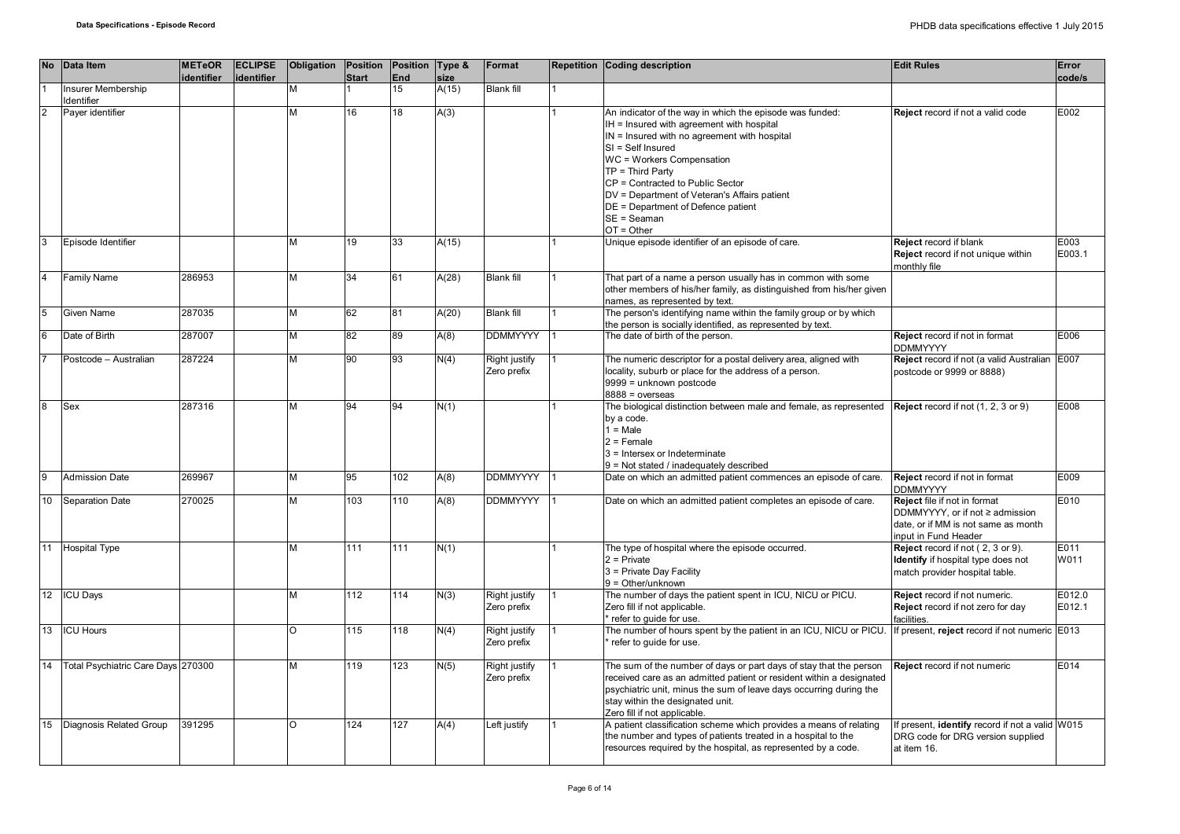|                  | No Data Item                            | <b>METeOR</b><br>identifier | <b>ECLIPSE</b><br>identifier | Obligation | Position Position Type &<br><b>Start</b> | <b>End</b>       | size  | Format                       | <b>Repetition Coding description</b>                                                                                                                                                                                                                                                                                                                                                       | <b>Edit Rules</b>                                                                                                              | Error<br>code/s  |
|------------------|-----------------------------------------|-----------------------------|------------------------------|------------|------------------------------------------|------------------|-------|------------------------------|--------------------------------------------------------------------------------------------------------------------------------------------------------------------------------------------------------------------------------------------------------------------------------------------------------------------------------------------------------------------------------------------|--------------------------------------------------------------------------------------------------------------------------------|------------------|
|                  | Insurer Membership                      |                             |                              |            |                                          | $\overline{15}$  | A(15) | <b>Blank fill</b>            |                                                                                                                                                                                                                                                                                                                                                                                            |                                                                                                                                |                  |
| $\overline{2}$   | dentifier<br>Payer identifier           |                             |                              | м          | 16                                       | 18               | A(3)  |                              | An indicator of the way in which the episode was funded:<br>IH = Insured with agreement with hospital<br>IN = Insured with no agreement with hospital<br>$SI = Self$ Insured<br>WC = Workers Compensation<br>$TP = Third Party$<br>CP = Contracted to Public Sector<br>DV = Department of Veteran's Affairs patient<br>DE = Department of Defence patient<br>$SE = Seaman$<br>$OT = Other$ | Reject record if not a valid code                                                                                              | E002             |
| 3                | Episode Identifier                      |                             |                              | м          | 19                                       | 33               | A(15) |                              | Unique episode identifier of an episode of care.                                                                                                                                                                                                                                                                                                                                           | <b>Reject record if blank</b><br>Reject record if not unique within<br>monthly file                                            | E003<br>E003.1   |
| $\overline{4}$   | Family Name                             | 286953                      |                              | M          | 34                                       | 61               | A(28) | <b>Blank fill</b>            | That part of a name a person usually has in common with some<br>other members of his/her family, as distinguished from his/her given<br>names, as represented by text.                                                                                                                                                                                                                     |                                                                                                                                |                  |
| 5                | Given Name                              | 287035                      |                              | M          | 62                                       | 81               | A(20) | <b>Blank fill</b>            | The person's identifying name within the family group or by which<br>the person is socially identified, as represented by text.                                                                                                                                                                                                                                                            |                                                                                                                                |                  |
| 6                | Date of Birth                           | 287007                      |                              | М          | 82                                       | 89               | A(8)  | <b>DDMMYYYY</b>              | The date of birth of the person.                                                                                                                                                                                                                                                                                                                                                           | Reject record if not in format<br><b>DDMMYYYY</b>                                                                              | E006             |
|                  | Postcode - Australian                   | 287224                      |                              | м          | 90                                       | 93               | N(4)  | Right justify<br>Zero prefix | The numeric descriptor for a postal delivery area, aligned with<br>locality, suburb or place for the address of a person.<br>9999 = unknown postcode<br>$8888 = 0$ verseas                                                                                                                                                                                                                 | Reject record if not (a valid Australian<br>postcode or 9999 or 8888)                                                          | E007             |
| $\overline{8}$   | Sex                                     | 287316                      |                              | м          | 94                                       | 94               | N(1)  |                              | The biological distinction between male and female, as represented<br>by a code.<br>$1 = Male$<br>$2$ = Female<br>3 = Intersex or Indeterminate<br>9 = Not stated / inadequately described                                                                                                                                                                                                 | Reject record if not (1, 2, 3 or 9)                                                                                            | E008             |
| 9                | <b>Admission Date</b>                   | 269967                      |                              | М          | 95                                       | 102              | A(8)  | <b>DDMMYYYY</b>              | Date on which an admitted patient commences an episode of care.                                                                                                                                                                                                                                                                                                                            | Reject record if not in format<br><b>DDMMYYYY</b>                                                                              | E009             |
| 10               | <b>Separation Date</b>                  | 270025                      |                              | м          | 103                                      | 110              | A(8)  | <b>DDMMYYYY</b>              | Date on which an admitted patient completes an episode of care.                                                                                                                                                                                                                                                                                                                            | Reject file if not in format<br>DDMMYYYY, or if not ≥ admission<br>date, or if MM is not same as month<br>input in Fund Header | E010             |
| 11               | <b>Hospital Type</b>                    |                             |                              | м          | 111                                      | 111              | N(1)  |                              | The type of hospital where the episode occurred.<br>$2$ = Private<br>3 = Private Day Facility<br>$9 = Other/unknown$                                                                                                                                                                                                                                                                       | Reject record if not (2, 3 or 9).<br>Identify if hospital type does not<br>match provider hospital table.                      | E011<br>W011     |
| 12 <sup>12</sup> | <b>ICU Days</b>                         |                             |                              | M          | 112                                      | 114              | N(3)  | Right justify<br>Zero prefix | The number of days the patient spent in ICU, NICU or PICU.<br>Zero fill if not applicable.<br>refer to quide for use.                                                                                                                                                                                                                                                                      | Reject record if not numeric.<br>Reject record if not zero for day<br>facilities.                                              | E012.0<br>E012.1 |
| 13               | <b>ICU Hours</b>                        |                             |                              | O          | 115                                      | $\overline{118}$ | N(4)  | Right justify<br>Zero prefix | The number of hours spent by the patient in an ICU, NICU or PICU.<br>refer to guide for use.                                                                                                                                                                                                                                                                                               | f present, reject record if not numeric                                                                                        | E013             |
|                  | 14   Total Psychiatric Care Days 270300 |                             |                              | М          | 119                                      | 123              | N(5)  | Right justify<br>Zero prefix | The sum of the number of days or part days of stay that the person<br>received care as an admitted patient or resident within a designated<br>psychiatric unit, minus the sum of leave days occurring during the<br>stay within the designated unit.<br>Zero fill if not applicable.                                                                                                       | Reject record if not numeric                                                                                                   | E014             |
| 15               | Diagnosis Related Group                 | 391295                      |                              | $\Omega$   | 124                                      | 127              | A(4)  | Left justify                 | A patient classification scheme which provides a means of relating<br>the number and types of patients treated in a hospital to the<br>resources required by the hospital, as represented by a code.                                                                                                                                                                                       | f present, identify record if not a valid W015<br>DRG code for DRG version supplied<br>at item 16.                             |                  |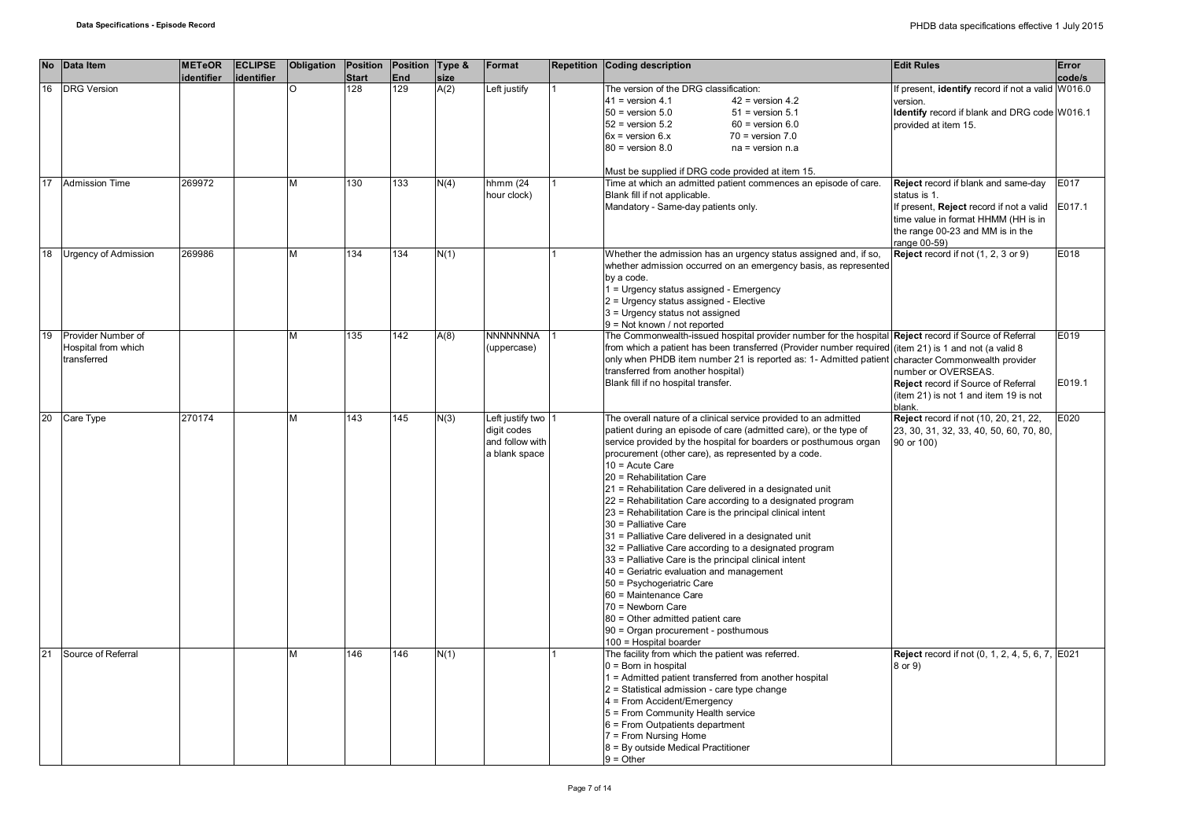|    | No Data Item          | <b>METeOR</b><br>identifier | <b>ECLIPSE</b><br>identifier | Obligation | Position<br><b>Start</b> | Position Type &<br>End | size | Format           | Repetition Coding description                                                                                        | <b>Edit Rules</b>                                      | Error<br>code/s |
|----|-----------------------|-----------------------------|------------------------------|------------|--------------------------|------------------------|------|------------------|----------------------------------------------------------------------------------------------------------------------|--------------------------------------------------------|-----------------|
| 16 | <b>DRG Version</b>    |                             |                              |            | 128                      | $\overline{129}$       | A(2) | Left justify     | The version of the DRG classification:                                                                               | If present, identify record if not a valid W016.0      |                 |
|    |                       |                             |                              |            |                          |                        |      |                  |                                                                                                                      |                                                        |                 |
|    |                       |                             |                              |            |                          |                        |      |                  | $41$ = version 4.1<br>$42$ = version 4.2                                                                             | version.                                               |                 |
|    |                       |                             |                              |            |                          |                        |      |                  | $50$ = version $5.0$<br>$51$ = version $5.1$                                                                         | Identify record if blank and DRG code W016.1           |                 |
|    |                       |                             |                              |            |                          |                        |      |                  | $52$ = version $5.2$<br>$60$ = version $6.0$                                                                         | provided at item 15.                                   |                 |
|    |                       |                             |                              |            |                          |                        |      |                  | $6x =$ version $6.x$<br>$70$ = version $7.0$                                                                         |                                                        |                 |
|    |                       |                             |                              |            |                          |                        |      |                  | $80$ = version $8.0$<br>$na = version n.a$                                                                           |                                                        |                 |
|    |                       |                             |                              |            |                          |                        |      |                  |                                                                                                                      |                                                        |                 |
| 17 | <b>Admission Time</b> | 269972                      |                              | M          | 130                      | 133                    | N(4) | hhmm $(24)$      | Must be supplied if DRG code provided at item 15.<br>Time at which an admitted patient commences an episode of care. | Reject record if blank and same-day                    | E017            |
|    |                       |                             |                              |            |                          |                        |      | hour clock)      | Blank fill if not applicable.                                                                                        | status is 1.                                           |                 |
|    |                       |                             |                              |            |                          |                        |      |                  | Mandatory - Same-day patients only.                                                                                  | If present, Reject record if not a valid               | E017.1          |
|    |                       |                             |                              |            |                          |                        |      |                  |                                                                                                                      |                                                        |                 |
|    |                       |                             |                              |            |                          |                        |      |                  |                                                                                                                      | time value in format HHMM (HH is in                    |                 |
|    |                       |                             |                              |            |                          |                        |      |                  |                                                                                                                      | the range 00-23 and MM is in the                       |                 |
|    |                       |                             |                              | M          |                          |                        |      |                  |                                                                                                                      | range 00-59)                                           | E018            |
| 18 | Urgency of Admission  | 269986                      |                              |            | 134                      | 134                    | N(1) |                  | Whether the admission has an urgency status assigned and, if so,                                                     | Reject record if not (1, 2, 3 or 9)                    |                 |
|    |                       |                             |                              |            |                          |                        |      |                  | whether admission occurred on an emergency basis, as represented                                                     |                                                        |                 |
|    |                       |                             |                              |            |                          |                        |      |                  | by a code.                                                                                                           |                                                        |                 |
|    |                       |                             |                              |            |                          |                        |      |                  | 1 = Urgency status assigned - Emergency                                                                              |                                                        |                 |
|    |                       |                             |                              |            |                          |                        |      |                  | 2 = Urgency status assigned - Elective                                                                               |                                                        |                 |
|    |                       |                             |                              |            |                          |                        |      |                  | 3 = Urgency status not assigned                                                                                      |                                                        |                 |
|    |                       |                             |                              |            |                          |                        |      |                  | $9 = Not known / not reported$                                                                                       |                                                        |                 |
| 19 | Provider Number of    |                             |                              | м          | 135                      | 142                    | A(8) | <b>NNNNNNNA</b>  | The Commonwealth-issued hospital provider number for the hospital Reject record if Source of Referral                |                                                        | E019            |
|    | Hospital from which   |                             |                              |            |                          |                        |      | (uppercase)      | from which a patient has been transferred (Provider number required (item 21) is 1 and not (a valid 8                |                                                        |                 |
|    | transferred           |                             |                              |            |                          |                        |      |                  | only when PHDB item number 21 is reported as: 1- Admitted patient character Commonwealth provider                    |                                                        |                 |
|    |                       |                             |                              |            |                          |                        |      |                  | transferred from another hospital)                                                                                   | number or OVERSEAS.                                    |                 |
|    |                       |                             |                              |            |                          |                        |      |                  | Blank fill if no hospital transfer.                                                                                  | <b>Reject</b> record if Source of Referral             | E019.1          |
|    |                       |                             |                              |            |                          |                        |      |                  |                                                                                                                      | (item 21) is not 1 and item 19 is not                  |                 |
|    |                       |                             |                              |            |                          |                        |      |                  |                                                                                                                      | blank.                                                 |                 |
| 20 | <b>Care Type</b>      | 270174                      |                              | м          | 143                      | 145                    | N(3) | Left justify two | The overall nature of a clinical service provided to an admitted                                                     | Reject record if not (10, 20, 21, 22,                  | E020            |
|    |                       |                             |                              |            |                          |                        |      | digit codes      | patient during an episode of care (admitted care), or the type of                                                    | 23, 30, 31, 32, 33, 40, 50, 60, 70, 80,                |                 |
|    |                       |                             |                              |            |                          |                        |      | and follow with  | service provided by the hospital for boarders or posthumous organ                                                    | 90 or 100)                                             |                 |
|    |                       |                             |                              |            |                          |                        |      | a blank space    | procurement (other care), as represented by a code.                                                                  |                                                        |                 |
|    |                       |                             |                              |            |                          |                        |      |                  | 10 = Acute Care                                                                                                      |                                                        |                 |
|    |                       |                             |                              |            |                          |                        |      |                  | 20 = Rehabilitation Care                                                                                             |                                                        |                 |
|    |                       |                             |                              |            |                          |                        |      |                  | 21 = Rehabilitation Care delivered in a designated unit                                                              |                                                        |                 |
|    |                       |                             |                              |            |                          |                        |      |                  |                                                                                                                      |                                                        |                 |
|    |                       |                             |                              |            |                          |                        |      |                  | 22 = Rehabilitation Care according to a designated program                                                           |                                                        |                 |
|    |                       |                             |                              |            |                          |                        |      |                  | 23 = Rehabilitation Care is the principal clinical intent                                                            |                                                        |                 |
|    |                       |                             |                              |            |                          |                        |      |                  | 30 = Palliative Care                                                                                                 |                                                        |                 |
|    |                       |                             |                              |            |                          |                        |      |                  | 31 = Palliative Care delivered in a designated unit                                                                  |                                                        |                 |
|    |                       |                             |                              |            |                          |                        |      |                  | 32 = Palliative Care according to a designated program                                                               |                                                        |                 |
|    |                       |                             |                              |            |                          |                        |      |                  | 33 = Palliative Care is the principal clinical intent                                                                |                                                        |                 |
|    |                       |                             |                              |            |                          |                        |      |                  | 40 = Geriatric evaluation and management                                                                             |                                                        |                 |
|    |                       |                             |                              |            |                          |                        |      |                  | 50 = Psychogeriatric Care                                                                                            |                                                        |                 |
|    |                       |                             |                              |            |                          |                        |      |                  | 60 = Maintenance Care                                                                                                |                                                        |                 |
|    |                       |                             |                              |            |                          |                        |      |                  | 70 = Newborn Care                                                                                                    |                                                        |                 |
|    |                       |                             |                              |            |                          |                        |      |                  | 80 = Other admitted patient care                                                                                     |                                                        |                 |
|    |                       |                             |                              |            |                          |                        |      |                  | 90 = Organ procurement - posthumous                                                                                  |                                                        |                 |
|    |                       |                             |                              |            |                          |                        |      |                  | 100 = Hospital boarder                                                                                               |                                                        |                 |
| 21 | Source of Referral    |                             |                              | м          | 146                      | 146                    | N(1) |                  | The facility from which the patient was referred.                                                                    | <b>Reject</b> record if not (0, 1, 2, 4, 5, 6, 7, E021 |                 |
|    |                       |                             |                              |            |                          |                        |      |                  | $0 = Born$ in hospital                                                                                               | 8 or 9)                                                |                 |
|    |                       |                             |                              |            |                          |                        |      |                  | 1 = Admitted patient transferred from another hospital                                                               |                                                        |                 |
|    |                       |                             |                              |            |                          |                        |      |                  | 2 = Statistical admission - care type change                                                                         |                                                        |                 |
|    |                       |                             |                              |            |                          |                        |      |                  | 4 = From Accident/Emergency                                                                                          |                                                        |                 |
|    |                       |                             |                              |            |                          |                        |      |                  | 5 = From Community Health service                                                                                    |                                                        |                 |
|    |                       |                             |                              |            |                          |                        |      |                  |                                                                                                                      |                                                        |                 |
|    |                       |                             |                              |            |                          |                        |      |                  | 6 = From Outpatients department                                                                                      |                                                        |                 |
|    |                       |                             |                              |            |                          |                        |      |                  | 7 = From Nursing Home                                                                                                |                                                        |                 |
|    |                       |                             |                              |            |                          |                        |      |                  | 8 = By outside Medical Practitioner                                                                                  |                                                        |                 |
|    |                       |                             |                              |            |                          |                        |      |                  | $9 = Other$                                                                                                          |                                                        |                 |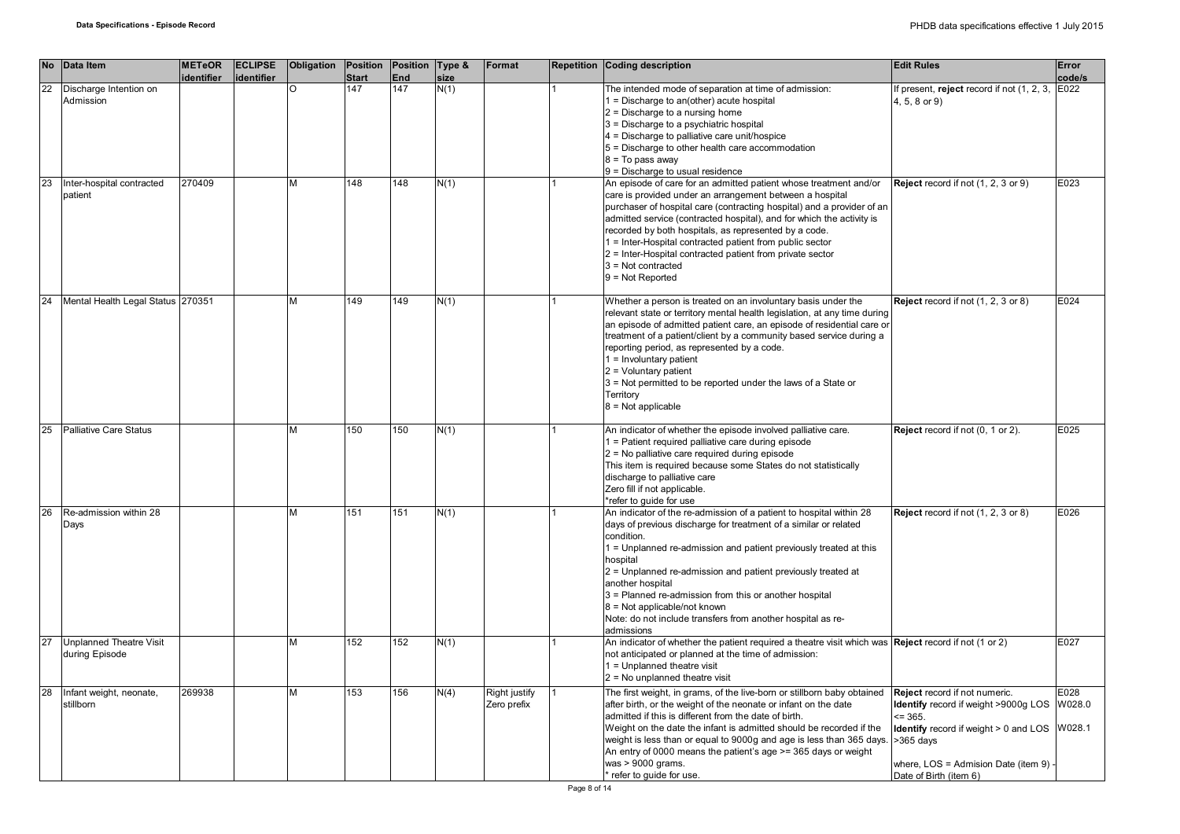| <b>No</b> | Data Item                         | <b>METeOR</b> | <b>ECLIPSE</b> | Obligation Position |              | Position Type &  |      | Format               | Repetition Coding description                                                                                                           | <b>Edit Rules</b>                            | Error  |
|-----------|-----------------------------------|---------------|----------------|---------------------|--------------|------------------|------|----------------------|-----------------------------------------------------------------------------------------------------------------------------------------|----------------------------------------------|--------|
|           |                                   | identifier    | identifier     |                     | <b>Start</b> | End              | size |                      |                                                                                                                                         |                                              | code/s |
| 22        | Discharge Intention on            |               |                |                     | 147          | 147              | N(1) |                      | The intended mode of separation at time of admission:                                                                                   | If present, reject record if not (1, 2, 3,   | E022   |
|           | Admission                         |               |                |                     |              |                  |      |                      | $1 = Discharge$ to an(other) acute hospital                                                                                             | 4, 5, 8 or 9)                                |        |
|           |                                   |               |                |                     |              |                  |      |                      | 2 = Discharge to a nursing home                                                                                                         |                                              |        |
|           |                                   |               |                |                     |              |                  |      |                      | 3 = Discharge to a psychiatric hospital                                                                                                 |                                              |        |
|           |                                   |               |                |                     |              |                  |      |                      | 4 = Discharge to palliative care unit/hospice                                                                                           |                                              |        |
|           |                                   |               |                |                     |              |                  |      |                      | 5 = Discharge to other health care accommodation                                                                                        |                                              |        |
|           |                                   |               |                |                     |              |                  |      |                      | $8 = To pass away$                                                                                                                      |                                              |        |
|           |                                   |               |                |                     |              |                  |      |                      | $9$ = Discharge to usual residence                                                                                                      |                                              |        |
| 23        | Inter-hospital contracted         | 270409        |                | м                   | 148          | 148              | N(1) |                      | An episode of care for an admitted patient whose treatment and/or                                                                       | <b>Reject</b> record if not (1, 2, 3 or 9)   | E023   |
|           | patient                           |               |                |                     |              |                  |      |                      | care is provided under an arrangement between a hospital                                                                                |                                              |        |
|           |                                   |               |                |                     |              |                  |      |                      | purchaser of hospital care (contracting hospital) and a provider of an                                                                  |                                              |        |
|           |                                   |               |                |                     |              |                  |      |                      | admitted service (contracted hospital), and for which the activity is                                                                   |                                              |        |
|           |                                   |               |                |                     |              |                  |      |                      | recorded by both hospitals, as represented by a code.                                                                                   |                                              |        |
|           |                                   |               |                |                     |              |                  |      |                      | 1 = Inter-Hospital contracted patient from public sector                                                                                |                                              |        |
|           |                                   |               |                |                     |              |                  |      |                      | 2 = Inter-Hospital contracted patient from private sector                                                                               |                                              |        |
|           |                                   |               |                |                     |              |                  |      |                      | $3 = Not contracted$                                                                                                                    |                                              |        |
|           |                                   |               |                |                     |              |                  |      |                      | $9 = Not Reported$                                                                                                                      |                                              |        |
|           |                                   |               |                |                     |              |                  |      |                      |                                                                                                                                         |                                              |        |
| 24        | Mental Health Legal Status 270351 |               |                | м                   | 149          | $\overline{149}$ | N(1) |                      | Whether a person is treated on an involuntary basis under the                                                                           | Reject record if not (1, 2, 3 or 8)          | E024   |
|           |                                   |               |                |                     |              |                  |      |                      | relevant state or territory mental health legislation, at any time during                                                               |                                              |        |
|           |                                   |               |                |                     |              |                  |      |                      | an episode of admitted patient care, an episode of residential care or                                                                  |                                              |        |
|           |                                   |               |                |                     |              |                  |      |                      | treatment of a patient/client by a community based service during a                                                                     |                                              |        |
|           |                                   |               |                |                     |              |                  |      |                      | reporting period, as represented by a code.                                                                                             |                                              |        |
|           |                                   |               |                |                     |              |                  |      |                      | $1 =$ Involuntary patient                                                                                                               |                                              |        |
|           |                                   |               |                |                     |              |                  |      |                      | $2 =$ Voluntary patient                                                                                                                 |                                              |        |
|           |                                   |               |                |                     |              |                  |      |                      | 3 = Not permitted to be reported under the laws of a State or                                                                           |                                              |        |
|           |                                   |               |                |                     |              |                  |      |                      | Territory                                                                                                                               |                                              |        |
|           |                                   |               |                |                     |              |                  |      |                      | $8 = Not applicable$                                                                                                                    |                                              |        |
|           |                                   |               |                |                     |              |                  |      |                      |                                                                                                                                         |                                              |        |
| 25        | Palliative Care Status            |               |                | м                   | 150          | 150              | N(1) |                      | An indicator of whether the episode involved palliative care.                                                                           | Reject record if not (0, 1 or 2).            | E025   |
|           |                                   |               |                |                     |              |                  |      |                      | 1 = Patient required palliative care during episode                                                                                     |                                              |        |
|           |                                   |               |                |                     |              |                  |      |                      | 2 = No palliative care required during episode                                                                                          |                                              |        |
|           |                                   |               |                |                     |              |                  |      |                      | This item is required because some States do not statistically                                                                          |                                              |        |
|           |                                   |               |                |                     |              |                  |      |                      | discharge to palliative care                                                                                                            |                                              |        |
|           |                                   |               |                |                     |              |                  |      |                      | Zero fill if not applicable.                                                                                                            |                                              |        |
| 26        |                                   |               |                | М                   | 151          | 151              |      |                      | *refer to guide for use                                                                                                                 |                                              | E026   |
|           | Re-admission within 28<br>Days    |               |                |                     |              |                  | N(1) |                      | An indicator of the re-admission of a patient to hospital within 28<br>days of previous discharge for treatment of a similar or related | Reject record if not (1, 2, 3 or 8)          |        |
|           |                                   |               |                |                     |              |                  |      |                      |                                                                                                                                         |                                              |        |
|           |                                   |               |                |                     |              |                  |      |                      | condition.                                                                                                                              |                                              |        |
|           |                                   |               |                |                     |              |                  |      |                      | 1 = Unplanned re-admission and patient previously treated at this                                                                       |                                              |        |
|           |                                   |               |                |                     |              |                  |      |                      | hospital                                                                                                                                |                                              |        |
|           |                                   |               |                |                     |              |                  |      |                      | 2 = Unplanned re-admission and patient previously treated at<br>another hospital                                                        |                                              |        |
|           |                                   |               |                |                     |              |                  |      |                      |                                                                                                                                         |                                              |        |
|           |                                   |               |                |                     |              |                  |      |                      | 3 = Planned re-admission from this or another hospital                                                                                  |                                              |        |
|           |                                   |               |                |                     |              |                  |      |                      | 8 = Not applicable/not known                                                                                                            |                                              |        |
|           |                                   |               |                |                     |              |                  |      |                      | Note: do not include transfers from another hospital as re-<br>admissions                                                               |                                              |        |
| 27        | Unplanned Theatre Visit           |               |                | м                   | 152          | 152              | N(1) |                      | An indicator of whether the patient required a theatre visit which was Reject record if not (1 or 2)                                    |                                              | E027   |
|           | during Episode                    |               |                |                     |              |                  |      |                      | not anticipated or planned at the time of admission:                                                                                    |                                              |        |
|           |                                   |               |                |                     |              |                  |      |                      | 1 = Unplanned theatre visit                                                                                                             |                                              |        |
|           |                                   |               |                |                     |              |                  |      |                      | $2$ = No unplanned theatre visit                                                                                                        |                                              |        |
| 28        | Infant weight, neonate,           | 269938        |                | м                   | 153          | 156              | N(4) | <b>Right justify</b> | The first weight, in grams, of the live-born or stillborn baby obtained                                                                 | Reject record if not numeric.                | E028   |
|           | stillborn                         |               |                |                     |              |                  |      | Zero prefix          | after birth, or the weight of the neonate or infant on the date                                                                         | Identify record if weight >9000g LOS         | W028.0 |
|           |                                   |               |                |                     |              |                  |      |                      | admitted if this is different from the date of birth.                                                                                   | $= 365.$                                     |        |
|           |                                   |               |                |                     |              |                  |      |                      | Weight on the date the infant is admitted should be recorded if the                                                                     |                                              | W028.1 |
|           |                                   |               |                |                     |              |                  |      |                      | weight is less than or equal to 9000g and age is less than 365 days.                                                                    | <b>Identify</b> record if weight > 0 and LOS |        |
|           |                                   |               |                |                     |              |                  |      |                      |                                                                                                                                         | >365 davs                                    |        |
|           |                                   |               |                |                     |              |                  |      |                      | An entry of 0000 means the patient's age >= 365 days or weight<br>was > 9000 grams.                                                     |                                              |        |
|           |                                   |               |                |                     |              |                  |      |                      |                                                                                                                                         | where, LOS = Admision Date (item 9)          |        |
|           |                                   |               |                |                     |              |                  |      |                      | * refer to guide for use.                                                                                                               | Date of Birth (item 6)                       |        |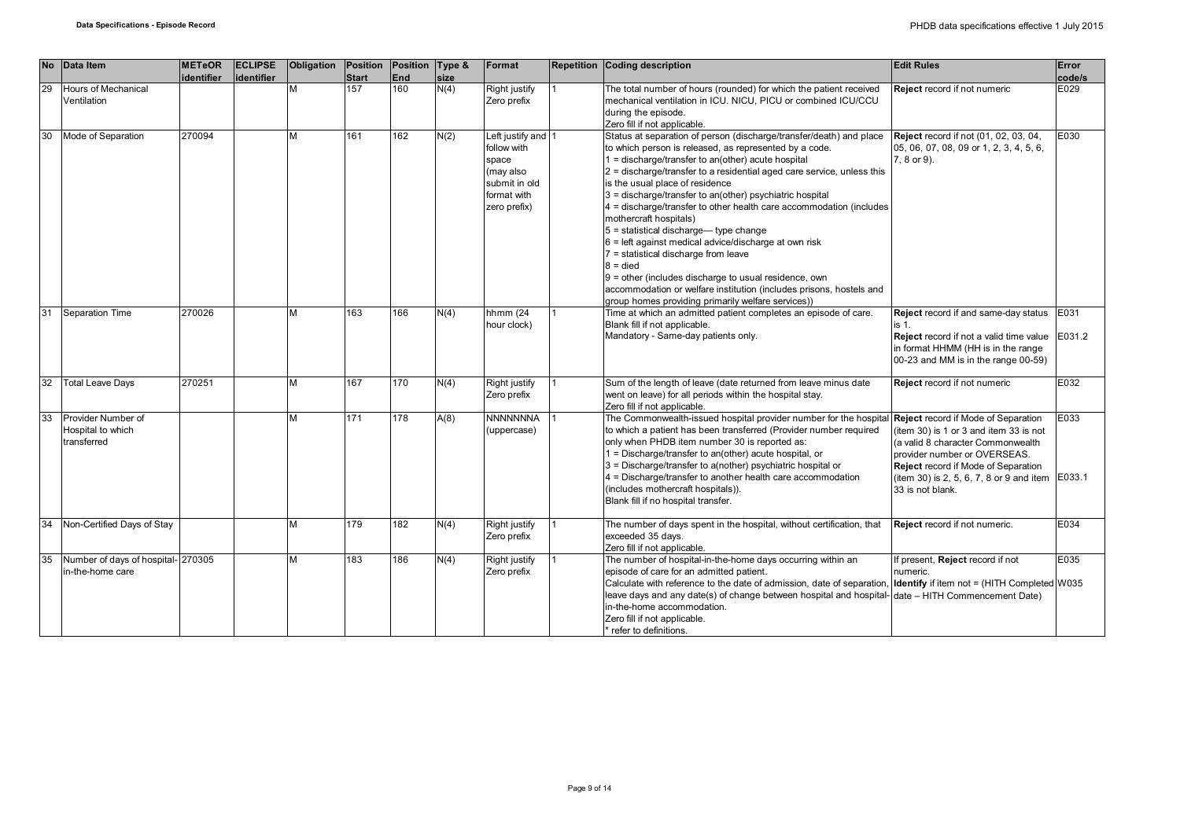| <b>No</b> | Data Item                                              | <b>METeOR</b><br>identifier | <b>ECLIPSE</b><br>identifier | Obligation | Position<br><b>Start</b> | Position Type &<br>End | size | Format                                                                                                  | <b>Repetition Coding description</b>                                                                                                                                                                                                                                                                                                                                                                                                                                                                                                                                                                                                                                                                                                                                                                               | <b>Edit Rules</b>                                                                                                                                                                                                         | Error<br>code/s |
|-----------|--------------------------------------------------------|-----------------------------|------------------------------|------------|--------------------------|------------------------|------|---------------------------------------------------------------------------------------------------------|--------------------------------------------------------------------------------------------------------------------------------------------------------------------------------------------------------------------------------------------------------------------------------------------------------------------------------------------------------------------------------------------------------------------------------------------------------------------------------------------------------------------------------------------------------------------------------------------------------------------------------------------------------------------------------------------------------------------------------------------------------------------------------------------------------------------|---------------------------------------------------------------------------------------------------------------------------------------------------------------------------------------------------------------------------|-----------------|
| 29        | <b>Hours of Mechanical</b><br>Ventilation              |                             |                              |            | 157                      | 160                    | N(4) | Right justify<br>Zero prefix                                                                            | The total number of hours (rounded) for which the patient received<br>mechanical ventilation in ICU. NICU, PICU or combined ICU/CCU<br>during the episode.<br>Zero fill if not applicable.                                                                                                                                                                                                                                                                                                                                                                                                                                                                                                                                                                                                                         | <b>Reject</b> record if not numeric                                                                                                                                                                                       | E029            |
| 30        | Mode of Separation                                     | 270094                      |                              |            | 161                      | 162                    | N(2) | Left justify and 1<br>follow with<br>space<br>(may also<br>submit in old<br>format with<br>zero prefix) | Status at separation of person (discharge/transfer/death) and place<br>to which person is released, as represented by a code.<br>1 = discharge/transfer to an(other) acute hospital<br>2 = discharge/transfer to a residential aged care service, unless this<br>is the usual place of residence<br>3 = discharge/transfer to an(other) psychiatric hospital<br>4 = discharge/transfer to other health care accommodation (includes<br>mothercraft hospitals)<br>$5$ = statistical discharge— type change<br>6 = left against medical advice/discharge at own risk<br>$7$ = statistical discharge from leave<br>$8 =$ died<br>$9$ = other (includes discharge to usual residence, own<br>accommodation or welfare institution (includes prisons, hostels and<br>group homes providing primarily welfare services)) | Reject record if not (01, 02, 03, 04,<br>05, 06, 07, 08, 09 or 1, 2, 3, 4, 5, 6,<br>7, 8 or 9).                                                                                                                           | E030            |
| 31        | Separation Time                                        | 270026                      |                              | м          | 163                      | 166                    | N(4) | hhmm (24<br>hour clock)                                                                                 | Time at which an admitted patient completes an episode of care.<br>Blank fill if not applicable.<br>Mandatory - Same-day patients only.                                                                                                                                                                                                                                                                                                                                                                                                                                                                                                                                                                                                                                                                            | Reject record if and same-day status<br>is 1.<br><b>Reject</b> record if not a valid time value E031.2<br>in format HHMM (HH is in the range<br>00-23 and MM is in the range 00-59)                                       | E031            |
| 32        | <b>Total Leave Days</b>                                | 270251                      |                              | м          | 167                      | 170                    | N(4) | Right justify<br>Zero prefix                                                                            | Sum of the length of leave (date returned from leave minus date<br>went on leave) for all periods within the hospital stay.<br>Zero fill if not applicable.                                                                                                                                                                                                                                                                                                                                                                                                                                                                                                                                                                                                                                                        | Reject record if not numeric                                                                                                                                                                                              | E032            |
| 33        | Provider Number of<br>Hospital to which<br>transferred |                             |                              | ٨л         | 171                      | 178                    | A(8) | <b>NNNNNNNA</b><br>(uppercase)                                                                          | The Commonwealth-issued hospital provider number for the hospital Reject record if Mode of Separation<br>to which a patient has been transferred (Provider number required<br>only when PHDB item number 30 is reported as:<br>1 = Discharge/transfer to an(other) acute hospital, or<br>3 = Discharge/transfer to a(nother) psychiatric hospital or<br>4 = Discharge/transfer to another health care accommodation<br>(includes mothercraft hospitals)).<br>Blank fill if no hospital transfer.                                                                                                                                                                                                                                                                                                                   | (item 30) is 1 or 3 and item 33 is not<br>(a valid 8 character Commonwealth<br>provider number or OVERSEAS.<br>Reject record if Mode of Separation<br>(item 30) is 2, 5, 6, 7, 8 or 9 and item E033.1<br>33 is not blank. | E033            |
| 34        | Non-Certified Days of Stay                             |                             |                              | М          | 179                      | 182                    | N(4) | Right justify<br>Zero prefix                                                                            | The number of days spent in the hospital, without certification, that<br>exceeded 35 days.<br>Zero fill if not applicable.                                                                                                                                                                                                                                                                                                                                                                                                                                                                                                                                                                                                                                                                                         | Reject record if not numeric.                                                                                                                                                                                             | E034            |
| 35        | Number of days of hospital- 270305<br>in-the-home care |                             |                              | м          | 183                      | 186                    | N(4) | Right justify<br>Zero prefix                                                                            | The number of hospital-in-the-home days occurring within an<br>episode of care for an admitted patient.<br>Calculate with reference to the date of admission, date of separation, <b>Identify</b> if item not = (HITH Completed W035<br>leave days and any date(s) of change between hospital and hospital-date – HITH Commencement Date)<br>in-the-home accommodation.<br>Zero fill if not applicable.<br>* refer to definitions.                                                                                                                                                                                                                                                                                                                                                                                 | If present, Reject record if not<br>numeric.                                                                                                                                                                              | E035            |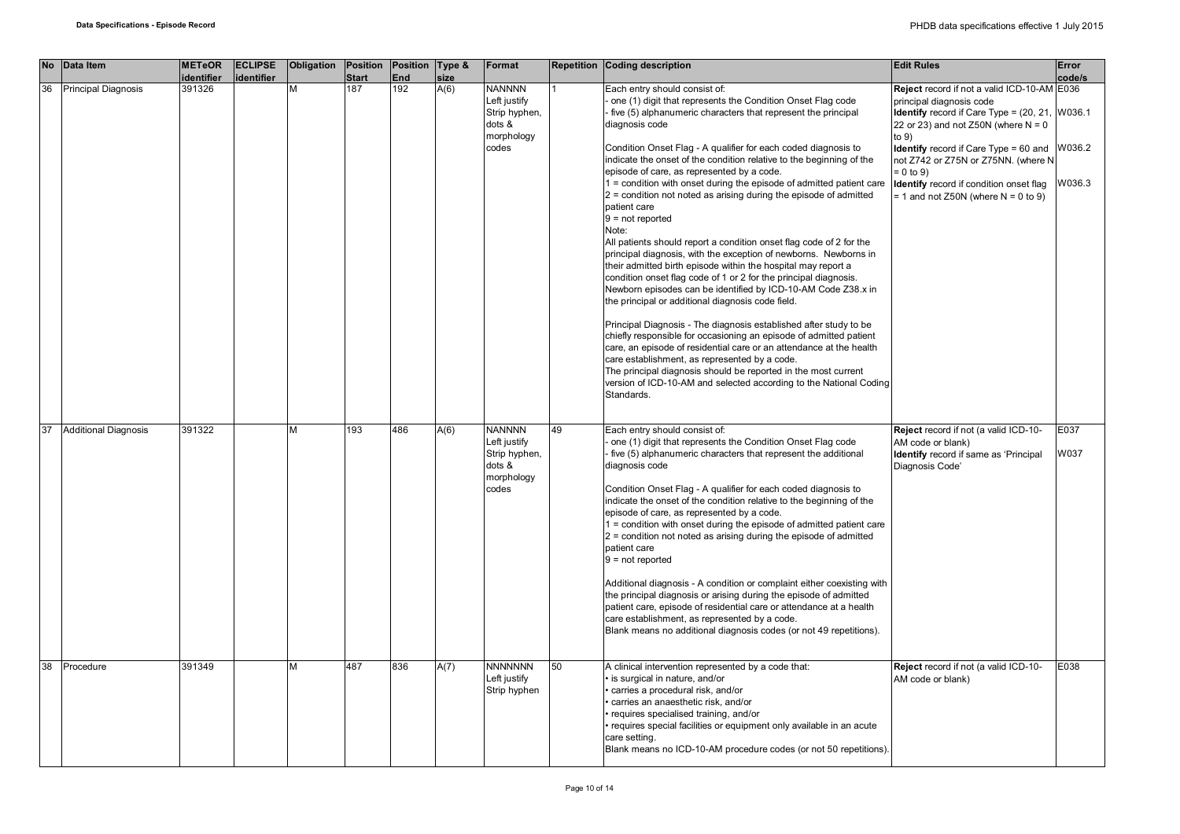| <b>No</b> | Data Item                   | <b>METeOR</b>        | <b>ECLIPSE</b> | Obligation | Position            | Position Type &<br>End | size | Format                                                                          |    | <b>Repetition Coding description</b>                                                                                                                                                                                                                                                                                                                                                                                                                                                                                                                                                                                                                                                                                                                                                                                                                                                                                                              | <b>Edit Rules</b>                                                                                                                                                                                                                                                                                                              | Error                                |
|-----------|-----------------------------|----------------------|----------------|------------|---------------------|------------------------|------|---------------------------------------------------------------------------------|----|---------------------------------------------------------------------------------------------------------------------------------------------------------------------------------------------------------------------------------------------------------------------------------------------------------------------------------------------------------------------------------------------------------------------------------------------------------------------------------------------------------------------------------------------------------------------------------------------------------------------------------------------------------------------------------------------------------------------------------------------------------------------------------------------------------------------------------------------------------------------------------------------------------------------------------------------------|--------------------------------------------------------------------------------------------------------------------------------------------------------------------------------------------------------------------------------------------------------------------------------------------------------------------------------|--------------------------------------|
| 36        | <b>Principal Diagnosis</b>  | identifier<br>391326 | identifier     | М          | <b>Start</b><br>187 | 192                    | A(6) | <b>NANNNN</b><br>Left justify<br>Strip hyphen,<br>dots &<br>morphology<br>codes |    | Each entry should consist of:<br>one (1) digit that represents the Condition Onset Flag code<br>five (5) alphanumeric characters that represent the principal<br>diagnosis code<br>Condition Onset Flag - A qualifier for each coded diagnosis to<br>indicate the onset of the condition relative to the beginning of the<br>episode of care, as represented by a code.<br>1 = condition with onset during the episode of admitted patient care                                                                                                                                                                                                                                                                                                                                                                                                                                                                                                   | Reject record if not a valid ICD-10-AM E036<br>principal diagnosis code<br><b>Identify</b> record if Care Type = (20, 21,<br>22 or 23) and not Z50N (where $N = 0$<br>to $9)$<br><b>Identify</b> record if Care Type = 60 and<br>not Z742 or Z75N or Z75NN. (where N<br>$= 0$ to 9)<br>Identify record if condition onset flag | code/s<br>W036.1<br>W036.2<br>W036.3 |
|           |                             |                      |                |            |                     |                        |      |                                                                                 |    | $2$ = condition not noted as arising during the episode of admitted<br>patient care<br>$9 = not reported$<br>Note:<br>All patients should report a condition onset flag code of 2 for the<br>principal diagnosis, with the exception of newborns. Newborns in<br>their admitted birth episode within the hospital may report a<br>condition onset flag code of 1 or 2 for the principal diagnosis.<br>Newborn episodes can be identified by ICD-10-AM Code Z38.x in<br>the principal or additional diagnosis code field.<br>Principal Diagnosis - The diagnosis established after study to be<br>chiefly responsible for occasioning an episode of admitted patient<br>care, an episode of residential care or an attendance at the health<br>care establishment, as represented by a code.<br>The principal diagnosis should be reported in the most current<br>version of ICD-10-AM and selected according to the National Coding<br>Standards. | $= 1$ and not Z50N (where N = 0 to 9)                                                                                                                                                                                                                                                                                          |                                      |
| 37        | <b>Additional Diagnosis</b> | 391322               |                | М          | 193                 | 486                    | A(6) | <b>NANNNN</b><br>Left justify<br>Strip hyphen,<br>dots &<br>morphology<br>codes | 49 | Each entry should consist of:<br>one (1) digit that represents the Condition Onset Flag code<br>five (5) alphanumeric characters that represent the additional<br>diagnosis code<br>Condition Onset Flag - A qualifier for each coded diagnosis to<br>indicate the onset of the condition relative to the beginning of the<br>episode of care, as represented by a code.<br>1 = condition with onset during the episode of admitted patient care<br>2 = condition not noted as arising during the episode of admitted<br>patient care<br>$9 = not reported$<br>Additional diagnosis - A condition or complaint either coexisting with<br>the principal diagnosis or arising during the episode of admitted<br>patient care, episode of residential care or attendance at a health<br>care establishment, as represented by a code.<br>Blank means no additional diagnosis codes (or not 49 repetitions).                                          | Reject record if not (a valid ICD-10-<br>AM code or blank)<br>Identify record if same as 'Principal<br>Diagnosis Code'                                                                                                                                                                                                         | E037<br>W037                         |
| 38        | Procedure                   | 391349               |                | M          | 487                 | 836                    | A(7) | <b>NNNNNNN</b><br>Left justify<br>Strip hyphen                                  | 50 | A clinical intervention represented by a code that:<br>is surgical in nature, and/or<br>carries a procedural risk, and/or<br>carries an anaesthetic risk, and/or<br>requires specialised training, and/or<br>requires special facilities or equipment only available in an acute<br>care setting.<br>Blank means no ICD-10-AM procedure codes (or not 50 repetitions).                                                                                                                                                                                                                                                                                                                                                                                                                                                                                                                                                                            | Reject record if not (a valid ICD-10-<br>AM code or blank)                                                                                                                                                                                                                                                                     | E038                                 |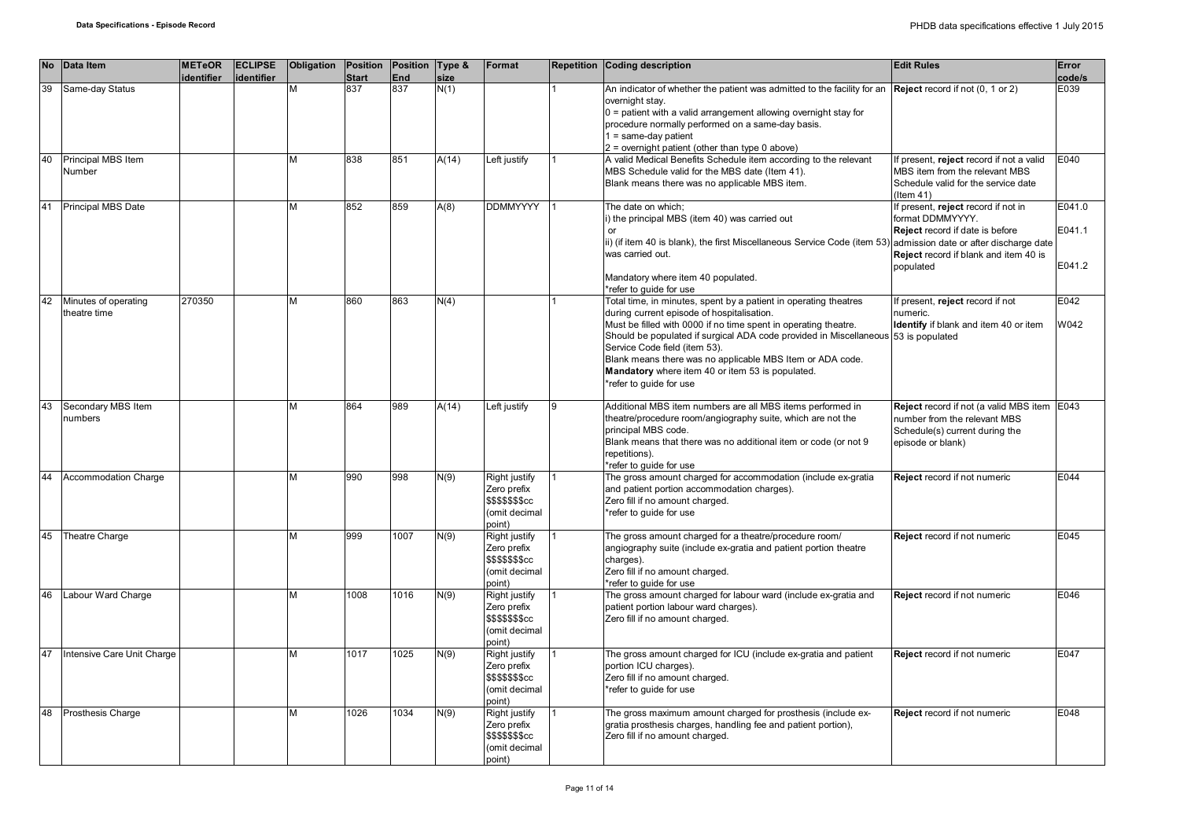| <b>No</b> | Data Item                            | <b>METeOR</b> | <b>ECLIPSE</b> | Obligation | Position     | Position Type & |       | Format                                                                             |   | <b>Repetition Coding description</b>                                                                                                                                                                                                                                                                                                                                                                                                                                            | <b>Edit Rules</b>                                                                                                                                | Error                      |
|-----------|--------------------------------------|---------------|----------------|------------|--------------|-----------------|-------|------------------------------------------------------------------------------------|---|---------------------------------------------------------------------------------------------------------------------------------------------------------------------------------------------------------------------------------------------------------------------------------------------------------------------------------------------------------------------------------------------------------------------------------------------------------------------------------|--------------------------------------------------------------------------------------------------------------------------------------------------|----------------------------|
|           |                                      | identifier    | identifier     |            | <b>Start</b> | <b>End</b>      | size  |                                                                                    |   |                                                                                                                                                                                                                                                                                                                                                                                                                                                                                 |                                                                                                                                                  | code/s                     |
| 39        | Same-day Status                      |               |                | М          | 837          | 837             | N(1)  |                                                                                    |   | An indicator of whether the patient was admitted to the facility for an <b>Reject</b> record if not $(0, 1 \text{ or } 2)$<br>overnight stay.<br>$0$ = patient with a valid arrangement allowing overnight stay for<br>procedure normally performed on a same-day basis.<br>$1 = same-day patient$                                                                                                                                                                              |                                                                                                                                                  | E039                       |
| 40        | Principal MBS Item<br>Number         |               |                | M          | 838          | 851             | A(14) | Left justify                                                                       |   | $2$ = overnight patient (other than type 0 above)<br>A valid Medical Benefits Schedule item according to the relevant<br>MBS Schedule valid for the MBS date (Item 41).<br>Blank means there was no applicable MBS item.                                                                                                                                                                                                                                                        | If present, reject record if not a valid<br>MBS item from the relevant MBS<br>Schedule valid for the service date<br>$($ ltem 41)                | E040                       |
| 41        | <b>Principal MBS Date</b>            |               |                | M          | 852          | 859             | A(8)  | <b>DDMMYYYY</b>                                                                    |   | The date on which;<br>i) the principal MBS (item 40) was carried out<br>or<br>ii) (if item 40 is blank), the first Miscellaneous Service Code (item 53) admission date or after discharge date<br>was carried out.<br>Mandatory where item 40 populated.                                                                                                                                                                                                                        | If present, reject record if not in<br>format DDMMYYYY.<br>Reject record if date is before<br>Reject record if blank and item 40 is<br>populated | E041.0<br>E041.1<br>E041.2 |
| 42        | Minutes of operating<br>theatre time | 270350        |                | M          | 860          | 863             | N(4)  |                                                                                    |   | *refer to guide for use<br>Total time, in minutes, spent by a patient in operating theatres<br>during current episode of hospitalisation.<br>Must be filled with 0000 if no time spent in operating theatre.<br>Should be populated if surgical ADA code provided in Miscellaneous 53 is populated<br>Service Code field (item 53).<br>Blank means there was no applicable MBS Item or ADA code.<br>Mandatory where item 40 or item 53 is populated.<br>*refer to guide for use | If present, reject record if not<br>numeric.<br>Identify if blank and item 40 or item                                                            | E042<br>W042               |
| 43        | Secondary MBS Item<br>numbers        |               |                | M          | 864          | 989             | A(14) | Left justify                                                                       | 9 | Additional MBS item numbers are all MBS items performed in<br>theatre/procedure room/angiography suite, which are not the<br>principal MBS code.<br>Blank means that there was no additional item or code (or not 9<br>repetitions).<br>*refer to guide for use                                                                                                                                                                                                                 | Reject record if not (a valid MBS item E043<br>number from the relevant MBS<br>Schedule(s) current during the<br>episode or blank)               |                            |
| 44        | Accommodation Charge                 |               |                | M          | 990          | 998             | N(9)  | <b>Right justify</b><br>Zero prefix<br>\$\$\$\$\$\$\$cc<br>(omit decimal<br>point) |   | The gross amount charged for accommodation (include ex-gratia<br>and patient portion accommodation charges).<br>Zero fill if no amount charged.<br>*refer to quide for use                                                                                                                                                                                                                                                                                                      | Reject record if not numeric                                                                                                                     | E044                       |
| 45        | Theatre Charge                       |               |                | M          | 999          | 1007            | N(9)  | Right justify<br>Zero prefix<br>\$\$\$\$\$\$\$cc<br>(omit decimal<br>point)        |   | The gross amount charged for a theatre/procedure room/<br>angiography suite (include ex-gratia and patient portion theatre<br>charges).<br>Zero fill if no amount charged.<br>*refer to quide for use                                                                                                                                                                                                                                                                           | Reject record if not numeric                                                                                                                     | E045                       |
| 46        | Labour Ward Charge                   |               |                | M          | 1008         | 1016            | N(9)  | Right justify<br>Zero prefix<br><b>\$\$\$\$\$\$\$cc</b><br>(omit decimal<br>point) |   | The gross amount charged for labour ward (include ex-gratia and<br>patient portion labour ward charges).<br>Zero fill if no amount charged.                                                                                                                                                                                                                                                                                                                                     | <b>Reject</b> record if not numeric                                                                                                              | E046                       |
| 47        | Intensive Care Unit Charge           |               |                | M          | 1017         | 1025            | N(9)  | Right justify<br>Zero prefix<br><b>\$\$\$\$\$\$\$cc</b><br>(omit decimal<br>point) |   | The gross amount charged for ICU (include ex-gratia and patient<br>portion ICU charges).<br>Zero fill if no amount charged.<br>*refer to quide for use                                                                                                                                                                                                                                                                                                                          | Reject record if not numeric                                                                                                                     | E047                       |
| 48        | Prosthesis Charge                    |               |                | M          | 1026         | 1034            | N(9)  | Right justify<br>Zero prefix<br><b>\$\$\$\$\$\$\$cc</b><br>(omit decimal<br>point) |   | The gross maximum amount charged for prosthesis (include ex-<br>gratia prosthesis charges, handling fee and patient portion),<br>Zero fill if no amount charged.                                                                                                                                                                                                                                                                                                                | Reject record if not numeric                                                                                                                     | E048                       |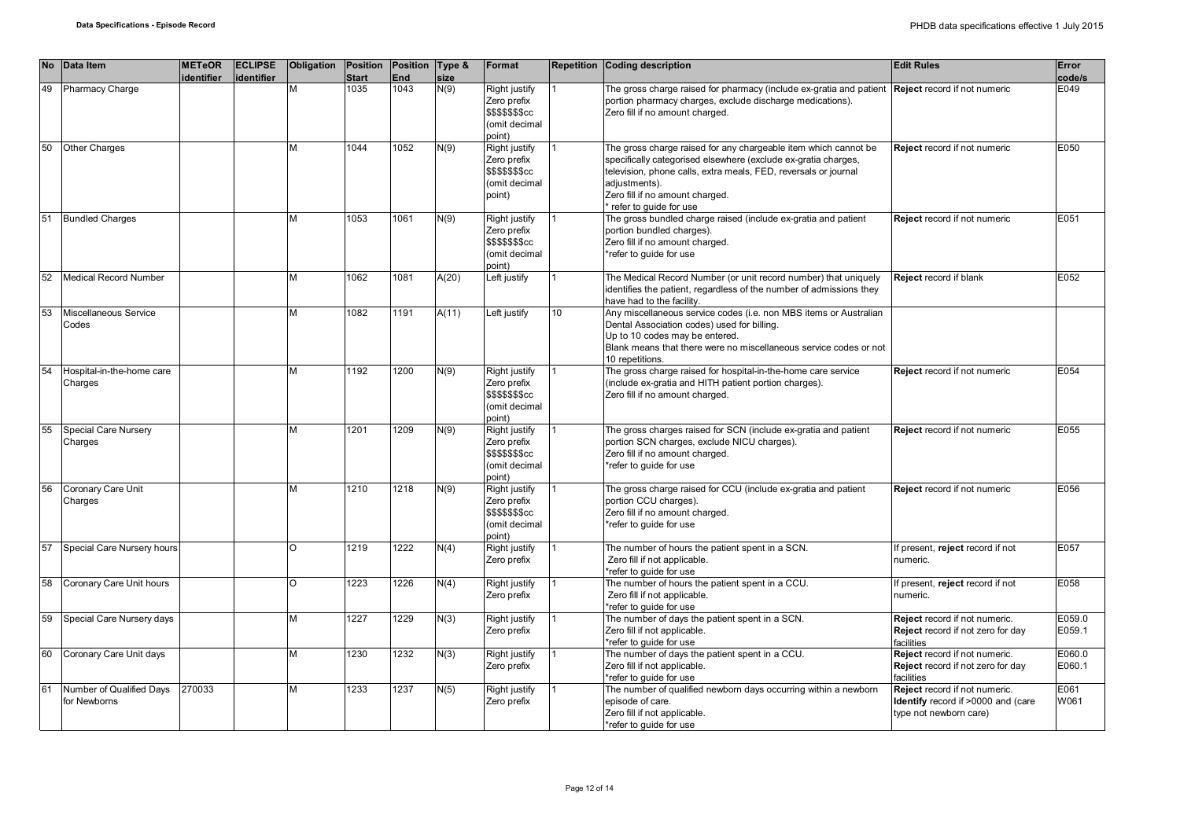|    | No Data Item                             | <b>METeOR</b><br>identifier | <b>ECLIPSE</b><br>identifier | Obligation | Position<br><b>Start</b> | Position Type &<br>End | size  | Format                                                                             |    | Repetition Coding description                                                                                                                                                                                                                                                        | <b>Edit Rules</b>                                                                             | Error<br>code/s  |
|----|------------------------------------------|-----------------------------|------------------------------|------------|--------------------------|------------------------|-------|------------------------------------------------------------------------------------|----|--------------------------------------------------------------------------------------------------------------------------------------------------------------------------------------------------------------------------------------------------------------------------------------|-----------------------------------------------------------------------------------------------|------------------|
| 49 | Pharmacy Charge                          |                             |                              |            | 1035                     | 1043                   | N(9)  | Right justify<br>Zero prefix<br>\$\$\$\$\$\$\$cc<br>(omit decimal<br>point)        |    | The gross charge raised for pharmacy (include ex-gratia and patient Reject record if not numeric<br>portion pharmacy charges, exclude discharge medications).<br>Zero fill if no amount charged.                                                                                     |                                                                                               | E049             |
| 50 | <b>Other Charges</b>                     |                             |                              |            | 1044                     | 1052                   | N(9)  | Right justify<br>Zero prefix<br>\$\$\$\$\$\$\$cc<br>(omit decimal<br>point)        |    | The gross charge raised for any chargeable item which cannot be<br>specifically categorised elsewhere (exclude ex-gratia charges,<br>television, phone calls, extra meals, FED, reversals or journal<br>adjustments).<br>Zero fill if no amount charged.<br>* refer to guide for use | <b>Reject</b> record if not numeric                                                           | E050             |
| 51 | <b>Bundled Charges</b>                   |                             |                              |            | 1053                     | 1061                   | N(9)  | Right justify<br>Zero prefix<br><b>\$\$\$\$\$\$\$cc</b><br>(omit decimal<br>point) |    | The gross bundled charge raised (include ex-gratia and patient<br>portion bundled charges).<br>Zero fill if no amount charged.<br>*refer to quide for use                                                                                                                            | Reject record if not numeric                                                                  | E051             |
| 52 | <b>Medical Record Number</b>             |                             |                              | м          | 1062                     | 1081                   | A(20) | Left justify                                                                       |    | The Medical Record Number (or unit record number) that uniquely<br>identifies the patient, regardless of the number of admissions they<br>have had to the facility.                                                                                                                  | <b>Reject record if blank</b>                                                                 | E052             |
| 53 | Miscellaneous Service<br>Codes           |                             |                              | М          | 1082                     | 1191                   | A(11) | Left justify                                                                       | 10 | Any miscellaneous service codes (i.e. non MBS items or Australian<br>Dental Association codes) used for billing.<br>Up to 10 codes may be entered.<br>Blank means that there were no miscellaneous service codes or not<br>10 repetitions.                                           |                                                                                               |                  |
| 54 | Hospital-in-the-home care<br>Charges     |                             |                              | М          | 1192                     | 1200                   | N(9)  | Right justify<br>Zero prefix<br><b>\$\$\$\$\$\$\$cc</b><br>(omit decimal<br>point) |    | The gross charge raised for hospital-in-the-home care service<br>(include ex-gratia and HITH patient portion charges).<br>Zero fill if no amount charged.                                                                                                                            | Reject record if not numeric                                                                  | E054             |
| 55 | Special Care Nursery<br>Charges          |                             |                              | М          | 1201                     | 1209                   | N(9)  | Right justify<br>Zero prefix<br>\$\$\$\$\$\$\$cc<br>(omit decimal<br>point)        |    | The gross charges raised for SCN (include ex-gratia and patient<br>portion SCN charges, exclude NICU charges).<br>Zero fill if no amount charged.<br>*refer to guide for use                                                                                                         | Reject record if not numeric                                                                  | E055             |
| 56 | Coronary Care Unit<br>Charges            |                             |                              |            | 1210                     | 1218                   | N(9)  | Right justify<br>Zero prefix<br>\$\$\$\$\$\$\$cc<br>(omit decimal<br>point)        |    | The gross charge raised for CCU (include ex-gratia and patient<br>portion CCU charges).<br>Zero fill if no amount charged.<br>*refer to quide for use                                                                                                                                | <b>Reject</b> record if not numeric                                                           | E056             |
| 57 | Special Care Nursery hours               |                             |                              | $\Omega$   | 1219                     | 1222                   | N(4)  | Right justify<br>Zero prefix                                                       |    | The number of hours the patient spent in a SCN.<br>Zero fill if not applicable.<br>*refer to quide for use                                                                                                                                                                           | f present, reject record if not<br>numeric.                                                   | E057             |
| 58 | Coronary Care Unit hours                 |                             |                              | O          | 1223                     | 1226                   | N(4)  | Right justify<br>Zero prefix                                                       |    | The number of hours the patient spent in a CCU.<br>Zero fill if not applicable.<br>*refer to guide for use                                                                                                                                                                           | If present, reject record if not<br>numeric.                                                  | E058             |
| 59 | Special Care Nursery days                |                             |                              | M          | 1227                     | 1229                   | N(3)  | Right justify<br>Zero prefix                                                       |    | The number of days the patient spent in a SCN.<br>Zero fill if not applicable.<br>*refer to guide for use                                                                                                                                                                            | Reject record if not numeric.<br>Reject record if not zero for day<br>facilities              | E059.0<br>E059.1 |
| 60 | Coronary Care Unit days                  |                             |                              | M          | 1230                     | 1232                   | N(3)  | Right justify<br>Zero prefix                                                       |    | The number of days the patient spent in a CCU.<br>Zero fill if not applicable.<br>refer to quide for use                                                                                                                                                                             | Reject record if not numeric.<br>Reject record if not zero for day<br>facilities              | E060.0<br>E060.1 |
| 61 | Number of Qualified Days<br>for Newborns | 270033                      |                              |            | 1233                     | 1237                   | N(5)  | Right justify<br>Zero prefix                                                       |    | The number of qualified newborn days occurring within a newborn<br>episode of care.<br>Zero fill if not applicable.<br>*refer to guide for use                                                                                                                                       | Reject record if not numeric.<br>Identify record if >0000 and (care<br>type not newborn care) | E061<br>W061     |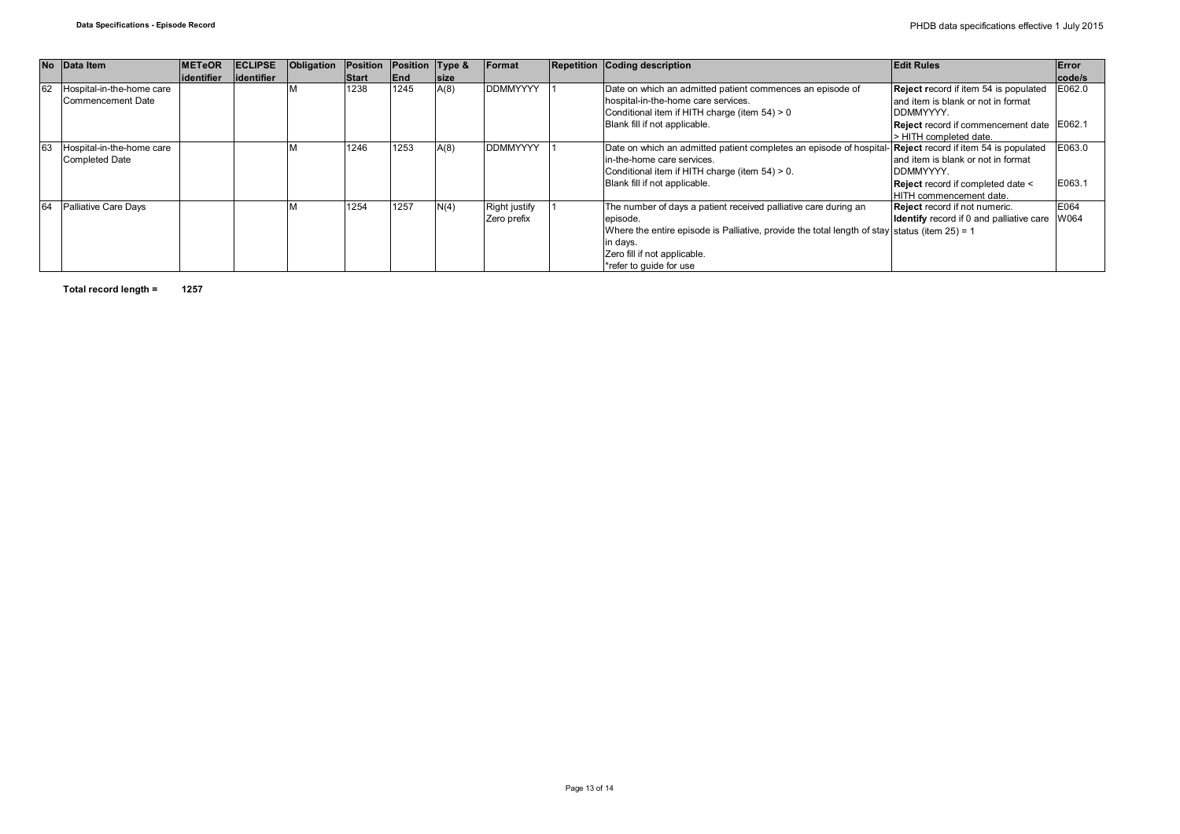|    | No Data Item                | <b>IMETeOR</b> | <b>ECLIPSE</b> | Obligation | Position     | Position Type & |             | Format               | <b>Repetition Coding description</b>                                                                      | <b>Edit Rules</b>                                    | <b>Error</b> |
|----|-----------------------------|----------------|----------------|------------|--------------|-----------------|-------------|----------------------|-----------------------------------------------------------------------------------------------------------|------------------------------------------------------|--------------|
|    |                             | lidentifier    | lidentifier    |            | <b>Start</b> | End             | <b>size</b> |                      |                                                                                                           |                                                      | code/s       |
| 62 | Hospital-in-the-home care   |                |                |            | 1238         | 1245            | A(8)        | <b>DDMMYYYY</b>      | Date on which an admitted patient commences an episode of                                                 | Reject record if item 54 is populated                | E062.0       |
|    | Commencement Date           |                |                |            |              |                 |             |                      | hospital-in-the-home care services.                                                                       | land item is blank or not in format                  |              |
|    |                             |                |                |            |              |                 |             |                      | Conditional item if HITH charge (item 54) > 0                                                             | DDMMYYYY.                                            |              |
|    |                             |                |                |            |              |                 |             |                      | Blank fill if not applicable.                                                                             | Reject record if commencement date E062.1            |              |
|    |                             |                |                |            |              |                 |             |                      |                                                                                                           | > HITH completed date.                               |              |
| 63 | Hospital-in-the-home care   |                |                |            | 1246         | 1253            | A(8)        | <b>DDMMYYYY</b>      | Date on which an admitted patient completes an episode of hospital- Reject record if item 54 is populated |                                                      | E063.0       |
|    | <b>Completed Date</b>       |                |                |            |              |                 |             |                      | lin-the-home care services.                                                                               | and item is blank or not in format                   |              |
|    |                             |                |                |            |              |                 |             |                      | Conditional item if HITH charge (item 54) > 0.                                                            | DDMMYYYY.                                            |              |
|    |                             |                |                |            |              |                 |             |                      | Blank fill if not applicable.                                                                             | Reject record if completed date <                    | E063.1       |
|    |                             |                |                |            |              |                 |             |                      |                                                                                                           | HITH commencement date.                              |              |
| 64 | <b>Palliative Care Days</b> |                |                |            | 1254         | 1257            | N(4)        | <b>Right justify</b> | The number of days a patient received palliative care during an                                           | Reject record if not numeric.                        | E064         |
|    |                             |                |                |            |              |                 |             | Zero prefix          | episode.                                                                                                  | <b>Identify</b> record if 0 and palliative care W064 |              |
|    |                             |                |                |            |              |                 |             |                      | Where the entire episode is Palliative, provide the total length of stay status (item $25$ ) = 1          |                                                      |              |
|    |                             |                |                |            |              |                 |             |                      | in days.                                                                                                  |                                                      |              |
|    |                             |                |                |            |              |                 |             |                      | Zero fill if not applicable.                                                                              |                                                      |              |
|    |                             |                |                |            |              |                 |             |                      | *refer to quide for use                                                                                   |                                                      |              |

**Total record length = 1257**